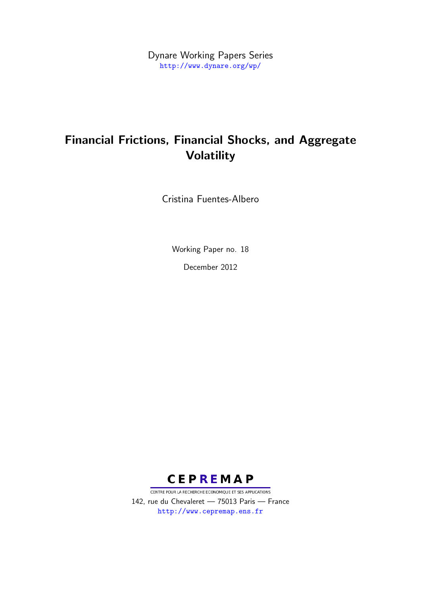Dynare Working Papers Series <http://www.dynare.org/wp/>

# Financial Frictions, Financial Shocks, and Aggregate Volatility

Cristina Fuentes-Albero

Working Paper no. 18

December 2012



CENTRE POUR LA RECHERCHE ECONOMIQUE ET SES APPLICATIONS 142, rue du Chevaleret — 75013 Paris — France <http://www.cepremap.ens.fr>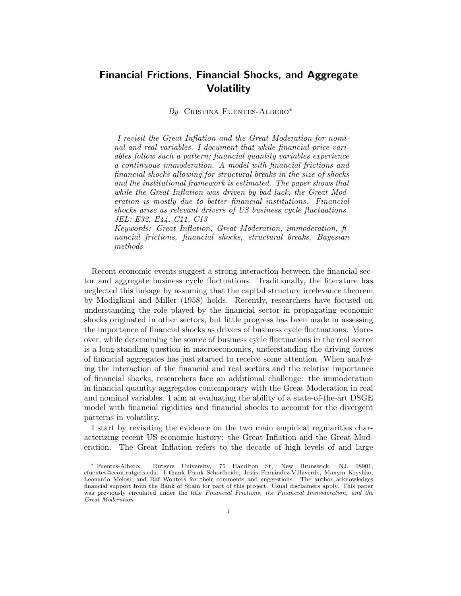## Financial Frictions, Financial Shocks, and Aggregate **Volatility**

By CRISTINA FUENTES-ALBERO<sup>\*</sup>

I revisit the Great Inflation and the Great Moderation for nominal and real variables. I document that while financial price variables follow such a pattern; financial quantity variables experience a continuous immoderation. A model with financial frictions and financial shocks allowing for structural breaks in the size of shocks and the institutional framework is estimated. The paper shows that while the Great Inflation was driven by bad luck, the Great Moderation is mostly due to better financial institutions. Financial shocks arise as relevant drivers of US business cycle fluctuations. JEL: E32, E44, C11, C13

Keywords: Great Inflation, Great Moderation, immoderation, financial frictions, financial shocks, structural breaks, Bayesian methods

Recent economic events suggest a strong interaction between the financial sector and aggregate business cycle fluctuations. Traditionally, the literature has neglected this linkage by assuming that the capital structure irrelevance theorem by Modigliani and Miller (1958) holds. Recently, researchers have focused on understanding the role played by the financial sector in propagating economic shocks originated in other sectors, but little progress has been made in assessing the importance of financial shocks as drivers of business cycle fluctuations. Moreover, while determining the source of business cycle fluctuations in the real sector is a long-standing question in macroeconomics, understanding the driving forces of financial aggregates has just started to receive some attention. When analyzing the interaction of the financial and real sectors and the relative importance of financial shocks, researchers face an additional challenge: the immoderation in financial quantity aggregates contemporary with the Great Moderation in real and nominal variables. I aim at evaluating the ability of a state-of-the-art DSGE model with financial rigidities and financial shocks to account for the divergent patterns in volatility.

I start by revisiting the evidence on the two main empirical regularities characterizing recent US economic history: the Great Inflation and the Great Moderation. The Great Inflation refers to the decade of high levels of and large

<sup>∗</sup> Fuentes-Albero: Rutgers University, 75 Hamilton St, New Brunswick, NJ, 08901, cfuentes@econ.rutgers.edu. I thank Frank Schorfheide, Jesús Fernández-Villaverde, Maxym Kryshko, Leonardo Melosi, and Raf Wouters for their comments and suggestions. The author acknowledges financial support from the Bank of Spain for part of this project. Usual disclaimers apply. This paper was previously circulated under the title Financial Frictions, the Financial Immoderation, and the Great Moderation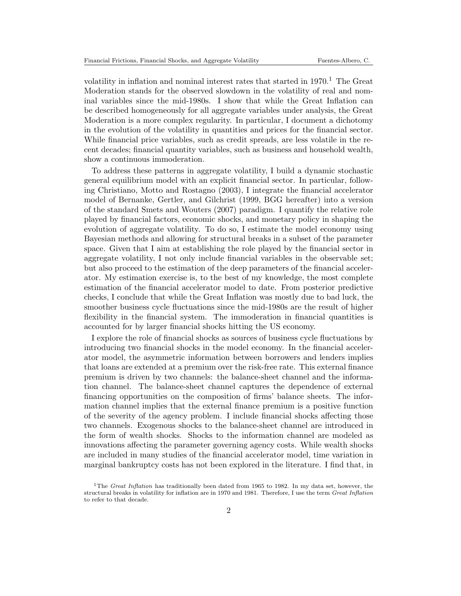volatility in inflation and nominal interest rates that started in  $1970<sup>1</sup>$ . The Great Moderation stands for the observed slowdown in the volatility of real and nominal variables since the mid-1980s. I show that while the Great Inflation can be described homogeneously for all aggregate variables under analysis, the Great Moderation is a more complex regularity. In particular, I document a dichotomy in the evolution of the volatility in quantities and prices for the financial sector. While financial price variables, such as credit spreads, are less volatile in the recent decades; financial quantity variables, such as business and household wealth, show a continuous immoderation.

To address these patterns in aggregate volatility, I build a dynamic stochastic general equilibrium model with an explicit financial sector. In particular, following Christiano, Motto and Rostagno (2003), I integrate the financial accelerator model of Bernanke, Gertler, and Gilchrist (1999, BGG hereafter) into a version of the standard Smets and Wouters (2007) paradigm. I quantify the relative role played by financial factors, economic shocks, and monetary policy in shaping the evolution of aggregate volatility. To do so, I estimate the model economy using Bayesian methods and allowing for structural breaks in a subset of the parameter space. Given that I aim at establishing the role played by the financial sector in aggregate volatility, I not only include financial variables in the observable set; but also proceed to the estimation of the deep parameters of the financial accelerator. My estimation exercise is, to the best of my knowledge, the most complete estimation of the financial accelerator model to date. From posterior predictive checks, I conclude that while the Great Inflation was mostly due to bad luck, the smoother business cycle fluctuations since the mid-1980s are the result of higher flexibility in the financial system. The immoderation in financial quantities is accounted for by larger financial shocks hitting the US economy.

I explore the role of financial shocks as sources of business cycle fluctuations by introducing two financial shocks in the model economy. In the financial accelerator model, the asymmetric information between borrowers and lenders implies that loans are extended at a premium over the risk-free rate. This external finance premium is driven by two channels: the balance-sheet channel and the information channel. The balance-sheet channel captures the dependence of external financing opportunities on the composition of firms' balance sheets. The information channel implies that the external finance premium is a positive function of the severity of the agency problem. I include financial shocks affecting those two channels. Exogenous shocks to the balance-sheet channel are introduced in the form of wealth shocks. Shocks to the information channel are modeled as innovations affecting the parameter governing agency costs. While wealth shocks are included in many studies of the financial accelerator model, time variation in marginal bankruptcy costs has not been explored in the literature. I find that, in

<sup>&</sup>lt;sup>1</sup>The *Great Inflation* has traditionally been dated from 1965 to 1982. In my data set, however, the structural breaks in volatility for inflation are in 1970 and 1981. Therefore, I use the term Great Inflation to refer to that decade.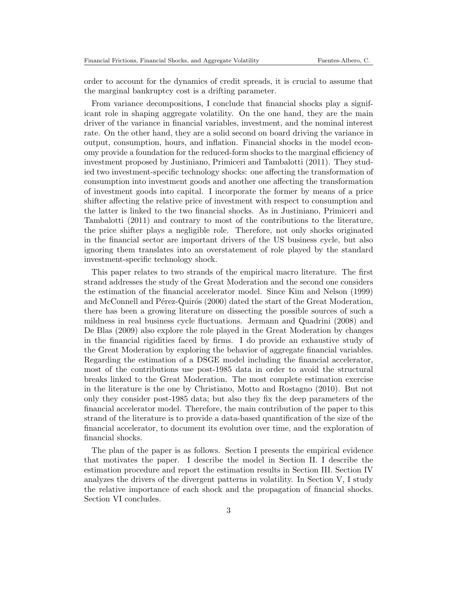order to account for the dynamics of credit spreads, it is crucial to assume that the marginal bankruptcy cost is a drifting parameter.

From variance decompositions, I conclude that financial shocks play a significant role in shaping aggregate volatility. On the one hand, they are the main driver of the variance in financial variables, investment, and the nominal interest rate. On the other hand, they are a solid second on board driving the variance in output, consumption, hours, and inflation. Financial shocks in the model economy provide a foundation for the reduced-form shocks to the marginal efficiency of investment proposed by Justiniano, Primiceri and Tambalotti (2011). They studied two investment-specific technology shocks: one affecting the transformation of consumption into investment goods and another one affecting the transformation of investment goods into capital. I incorporate the former by means of a price shifter affecting the relative price of investment with respect to consumption and the latter is linked to the two financial shocks. As in Justiniano, Primiceri and Tambalotti (2011) and contrary to most of the contributions to the literature, the price shifter plays a negligible role. Therefore, not only shocks originated in the financial sector are important drivers of the US business cycle, but also ignoring them translates into an overstatement of role played by the standard investment-specific technology shock.

This paper relates to two strands of the empirical macro literature. The first strand addresses the study of the Great Moderation and the second one considers the estimation of the financial accelerator model. Since Kim and Nelson (1999) and McConnell and Pérez-Quirós (2000) dated the start of the Great Moderation, there has been a growing literature on dissecting the possible sources of such a mildness in real business cycle fluctuations. Jermann and Quadrini (2008) and De Blas (2009) also explore the role played in the Great Moderation by changes in the financial rigidities faced by firms. I do provide an exhaustive study of the Great Moderation by exploring the behavior of aggregate financial variables. Regarding the estimation of a DSGE model including the financial accelerator, most of the contributions use post-1985 data in order to avoid the structural breaks linked to the Great Moderation. The most complete estimation exercise in the literature is the one by Christiano, Motto and Rostagno (2010). But not only they consider post-1985 data; but also they fix the deep parameters of the financial accelerator model. Therefore, the main contribution of the paper to this strand of the literature is to provide a data-based quantification of the size of the financial accelerator, to document its evolution over time, and the exploration of financial shocks.

The plan of the paper is as follows. Section I presents the empirical evidence that motivates the paper. I describe the model in Section II. I describe the estimation procedure and report the estimation results in Section III. Section IV analyzes the drivers of the divergent patterns in volatility. In Section V, I study the relative importance of each shock and the propagation of financial shocks. Section VI concludes.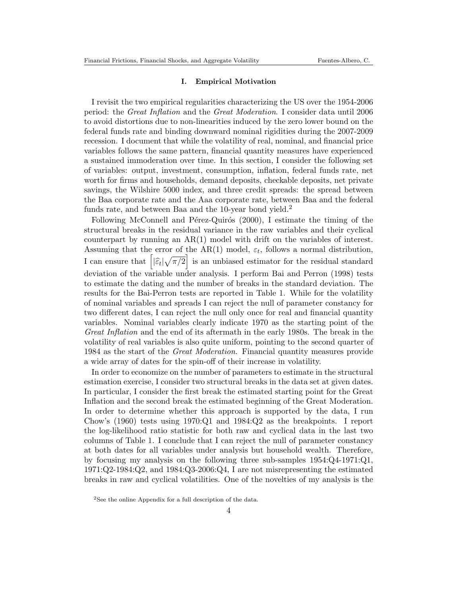## I. Empirical Motivation

I revisit the two empirical regularities characterizing the US over the 1954-2006 period: the Great Inflation and the Great Moderation. I consider data until 2006 to avoid distortions due to non-linearities induced by the zero lower bound on the federal funds rate and binding downward nominal rigidities during the 2007-2009 recession. I document that while the volatility of real, nominal, and financial price variables follows the same pattern, financial quantity measures have experienced a sustained immoderation over time. In this section, I consider the following set of variables: output, investment, consumption, inflation, federal funds rate, net worth for firms and households, demand deposits, checkable deposits, net private savings, the Wilshire 5000 index, and three credit spreads: the spread between the Baa corporate rate and the Aaa corporate rate, between Baa and the federal funds rate, and between Baa and the 10-year bond yield.<sup>2</sup>

Following McConnell and Pérez-Quirós  $(2000)$ , I estimate the timing of the structural breaks in the residual variance in the raw variables and their cyclical counterpart by running an AR(1) model with drift on the variables of interest. Assuming that the error of the AR(1) model,  $\varepsilon_t$ , follows a normal distribution, I can ensure that  $\left[|\hat{\varepsilon}_t|\sqrt{\pi/2}\right]$  is an unbiased estimator for the residual standard deviation of the variable under analysis. I perform Bai and Perron (1998) tests to estimate the dating and the number of breaks in the standard deviation. The results for the Bai-Perron tests are reported in Table 1. While for the volatility of nominal variables and spreads I can reject the null of parameter constancy for two different dates, I can reject the null only once for real and financial quantity variables. Nominal variables clearly indicate 1970 as the starting point of the Great Inflation and the end of its aftermath in the early 1980s. The break in the volatility of real variables is also quite uniform, pointing to the second quarter of 1984 as the start of the Great Moderation. Financial quantity measures provide a wide array of dates for the spin-off of their increase in volatility.

In order to economize on the number of parameters to estimate in the structural estimation exercise, I consider two structural breaks in the data set at given dates. In particular, I consider the first break the estimated starting point for the Great Inflation and the second break the estimated beginning of the Great Moderation. In order to determine whether this approach is supported by the data, I run Chow's  $(1960)$  tests using  $1970:Q1$  and  $1984:Q2$  as the breakpoints. I report the log-likelihood ratio statistic for both raw and cyclical data in the last two columns of Table 1. I conclude that I can reject the null of parameter constancy at both dates for all variables under analysis but household wealth. Therefore, by focusing my analysis on the following three sub-samples  $1954:Q4-1971:Q1$ , 1971:Q2-1984:Q2, and 1984:Q3-2006:Q4, I are not misrepresenting the estimated breaks in raw and cyclical volatilities. One of the novelties of my analysis is the

<sup>2</sup>See the online Appendix for a full description of the data.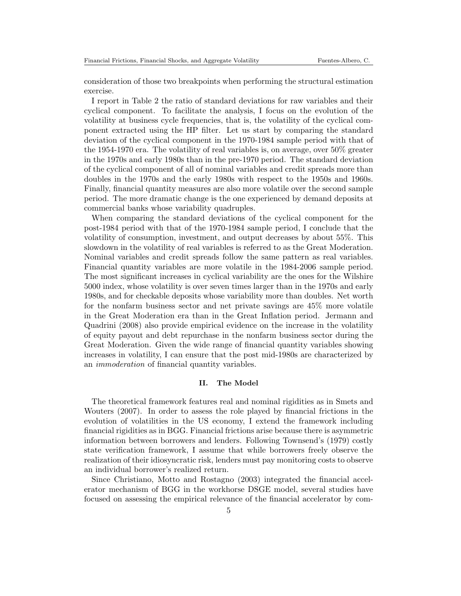consideration of those two breakpoints when performing the structural estimation exercise.

I report in Table 2 the ratio of standard deviations for raw variables and their cyclical component. To facilitate the analysis, I focus on the evolution of the volatility at business cycle frequencies, that is, the volatility of the cyclical component extracted using the HP filter. Let us start by comparing the standard deviation of the cyclical component in the 1970-1984 sample period with that of the 1954-1970 era. The volatility of real variables is, on average, over 50% greater in the 1970s and early 1980s than in the pre-1970 period. The standard deviation of the cyclical component of all of nominal variables and credit spreads more than doubles in the 1970s and the early 1980s with respect to the 1950s and 1960s. Finally, financial quantity measures are also more volatile over the second sample period. The more dramatic change is the one experienced by demand deposits at commercial banks whose variability quadruples.

When comparing the standard deviations of the cyclical component for the post-1984 period with that of the 1970-1984 sample period, I conclude that the volatility of consumption, investment, and output decreases by about 55%. This slowdown in the volatility of real variables is referred to as the Great Moderation. Nominal variables and credit spreads follow the same pattern as real variables. Financial quantity variables are more volatile in the 1984-2006 sample period. The most significant increases in cyclical variability are the ones for the Wilshire 5000 index, whose volatility is over seven times larger than in the 1970s and early 1980s, and for checkable deposits whose variability more than doubles. Net worth for the nonfarm business sector and net private savings are 45% more volatile in the Great Moderation era than in the Great Inflation period. Jermann and Quadrini (2008) also provide empirical evidence on the increase in the volatility of equity payout and debt repurchase in the nonfarm business sector during the Great Moderation. Given the wide range of financial quantity variables showing increases in volatility, I can ensure that the post mid-1980s are characterized by an immoderation of financial quantity variables.

#### II. The Model

The theoretical framework features real and nominal rigidities as in Smets and Wouters (2007). In order to assess the role played by financial frictions in the evolution of volatilities in the US economy, I extend the framework including financial rigidities as in BGG. Financial frictions arise because there is asymmetric information between borrowers and lenders. Following Townsend's (1979) costly state verification framework, I assume that while borrowers freely observe the realization of their idiosyncratic risk, lenders must pay monitoring costs to observe an individual borrower's realized return.

Since Christiano, Motto and Rostagno (2003) integrated the financial accelerator mechanism of BGG in the workhorse DSGE model, several studies have focused on assessing the empirical relevance of the financial accelerator by com-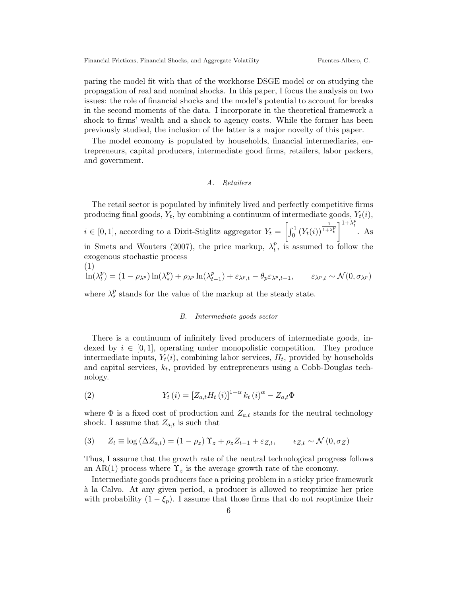paring the model fit with that of the workhorse DSGE model or on studying the propagation of real and nominal shocks. In this paper, I focus the analysis on two issues: the role of financial shocks and the model's potential to account for breaks in the second moments of the data. I incorporate in the theoretical framework a shock to firms' wealth and a shock to agency costs. While the former has been previously studied, the inclusion of the latter is a major novelty of this paper.

The model economy is populated by households, financial intermediaries, entrepreneurs, capital producers, intermediate good firms, retailers, labor packers, and government.

## A. Retailers

The retail sector is populated by infinitely lived and perfectly competitive firms producing final goods,  $Y_t$ , by combining a continuum of intermediate goods,  $Y_t(i)$ ,  $i \in [0,1]$ , according to a Dixit-Stiglitz aggregator  $Y_t = \left[\int_0^1 (Y_t(i))^{\frac{1}{1+\lambda_t^p}}\right]^{1+\lambda_t^p}$ . As in Smets and Wouters (2007), the price markup,  $\lambda_t^p$ , is assumed to follow the p exogenous stochastic process

$$
(1) \quad \ln(\lambda_t^p) = (1 - \rho_{\lambda^p}) \ln(\lambda_x^p) + \rho_{\lambda^p} \ln(\lambda_{t-1}^p) + \varepsilon_{\lambda^p, t} - \theta_p \varepsilon_{\lambda^p, t-1}, \qquad \varepsilon_{\lambda^p, t} \sim \mathcal{N}(0, \sigma_{\lambda^p})
$$

where  $\lambda_{\star}^{p}$  stands for the value of the markup at the steady state.

## B. Intermediate goods sector

There is a continuum of infinitely lived producers of intermediate goods, indexed by  $i \in [0, 1]$ , operating under monopolistic competition. They produce intermediate inputs,  $Y_t(i)$ , combining labor services,  $H_t$ , provided by households and capital services,  $k_t$ , provided by entrepreneurs using a Cobb-Douglas technology.

(2) 
$$
Y_t(i) = [Z_{a,t}H_t(i)]^{1-\alpha} k_t(i)^{\alpha} - Z_{a,t}\Phi
$$

where  $\Phi$  is a fixed cost of production and  $Z_{a,t}$  stands for the neutral technology shock. I assume that  $Z_{a,t}$  is such that

(3) 
$$
Z_t \equiv \log (\Delta Z_{a,t}) = (1 - \rho_z) \Upsilon_z + \rho_z Z_{t-1} + \varepsilon_{Z,t}, \qquad \varepsilon_{Z,t} \sim \mathcal{N}(0, \sigma_Z)
$$

Thus, I assume that the growth rate of the neutral technological progress follows an AR(1) process where  $\Upsilon_z$  is the average growth rate of the economy.

Intermediate goods producers face a pricing problem in a sticky price framework `a la Calvo. At any given period, a producer is allowed to reoptimize her price with probability  $(1 - \xi_p)$ . I assume that those firms that do not reoptimize their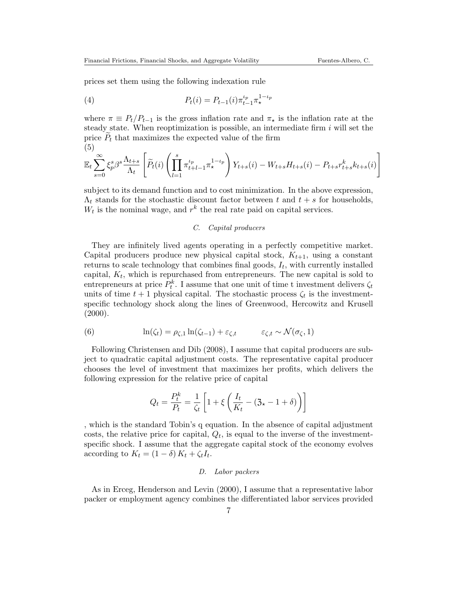prices set them using the following indexation rule

(4) 
$$
P_t(i) = P_{t-1}(i)\pi_{t-1}^{\iota_p}\pi_\star^{1-\iota_p}
$$

where  $\pi \equiv P_t/P_{t-1}$  is the gross inflation rate and  $\pi_{\star}$  is the inflation rate at the steady state. When reoptimization is possible, an intermediate firm  $i$  will set the price  $P_t$  that maximizes the expected value of the firm (5)

$$
\mathbb{E}_t \sum_{s=0}^{\infty} \xi_p^s \beta^s \frac{\Lambda_{t+s}}{\Lambda_t} \left[ \widetilde{P}_t(i) \left( \prod_{l=1}^s \pi_{t+l-1}^{\iota_p} \pi_{\star}^{1-\iota_p} \right) Y_{t+s}(i) - W_{t+s} H_{t+s}(i) - P_{t+s} r_{t+s}^k k_{t+s}(i) \right]
$$

subject to its demand function and to cost minimization. In the above expression,  $\Lambda_t$  stands for the stochastic discount factor between t and  $t + s$  for households,  $W_t$  is the nominal wage, and  $r^k$  the real rate paid on capital services.

## C. Capital producers

They are infinitely lived agents operating in a perfectly competitive market. Capital producers produce new physical capital stock,  $K_{t+1}$ , using a constant returns to scale technology that combines final goods,  $I_t$ , with currently installed capital,  $K_t$ , which is repurchased from entrepreneurs. The new capital is sold to entrepreneurs at price  $P_t^k$ . I assume that one unit of time t investment delivers  $\zeta_t$ units of time  $t+1$  physical capital. The stochastic process  $\zeta_t$  is the investmentspecific technology shock along the lines of Greenwood, Hercowitz and Krusell  $(2000).$ 

(6) 
$$
\ln(\zeta_t) = \rho_{\zeta,1} \ln(\zeta_{t-1}) + \varepsilon_{\zeta,t} \qquad \varepsilon_{\zeta,t} \sim \mathcal{N}(\sigma_{\zeta}, 1)
$$

Following Christensen and Dib (2008), I assume that capital producers are subject to quadratic capital adjustment costs. The representative capital producer chooses the level of investment that maximizes her profits, which delivers the following expression for the relative price of capital

$$
Q_t = \frac{P_t^k}{P_t} = \frac{1}{\zeta_t} \left[ 1 + \xi \left( \frac{I_t}{K_t} - (3 \star - 1 + \delta) \right) \right]
$$

, which is the standard Tobin's q equation. In the absence of capital adjustment costs, the relative price for capital,  $Q_t$ , is equal to the inverse of the investmentspecific shock. I assume that the aggregate capital stock of the economy evolves according to  $K_t = (1 - \delta) K_t + \zeta_t I_t$ .

## D. Labor packers

As in Erceg, Henderson and Levin (2000), I assume that a representative labor packer or employment agency combines the differentiated labor services provided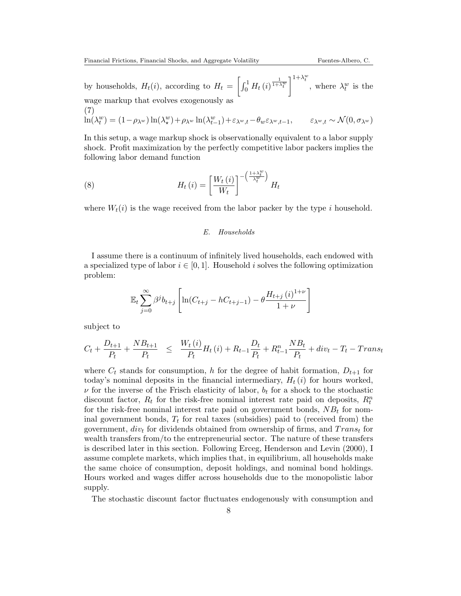by households,  $H_t(i)$ , according to  $H_t = \left[\int_0^1 H_t(i)^{\frac{1}{1+\lambda_t^w}}\right]^{1+\lambda_t^w}$ , where  $\lambda_t^w$  is the wage markup that evolves exogenously as (7)

$$
\ln(\lambda_t^w) = (1 - \rho_{\lambda^w}) \ln(\lambda_x^w) + \rho_{\lambda^w} \ln(\lambda_{t-1}^w) + \varepsilon_{\lambda^w,t} - \theta_w \varepsilon_{\lambda^w,t-1}, \qquad \varepsilon_{\lambda^w,t} \sim \mathcal{N}(0, \sigma_{\lambda^w})
$$

In this setup, a wage markup shock is observationally equivalent to a labor supply shock. Profit maximization by the perfectly competitive labor packers implies the following labor demand function

(8) 
$$
H_t(i) = \left[\frac{W_t(i)}{W_t}\right]^{-\left(\frac{1+\lambda_t^w}{\lambda_t^w}\right)} H_t
$$

where  $W_t(i)$  is the wage received from the labor packer by the type i household.

## E. Households

I assume there is a continuum of infinitely lived households, each endowed with a specialized type of labor  $i \in [0,1]$ . Household i solves the following optimization problem:

$$
\mathbb{E}_{t} \sum_{j=0}^{\infty} \beta^{j} b_{t+j} \left[ \ln(C_{t+j} - hC_{t+j-1}) - \theta \frac{H_{t+j} (i)^{1+\nu}}{1+\nu} \right]
$$

subject to

$$
C_{t} + \frac{D_{t+1}}{P_{t}} + \frac{NB_{t+1}}{P_{t}} \leq \frac{W_{t}(i)}{P_{t}}H_{t}(i) + R_{t-1}\frac{D_{t}}{P_{t}} + R_{t-1}^{n}\frac{NB_{t}}{P_{t}} + div_{t} - T_{t} - Trans_{t}
$$

where  $C_t$  stands for consumption, h for the degree of habit formation,  $D_{t+1}$  for today's nominal deposits in the financial intermediary,  $H_t(i)$  for hours worked,  $\nu$  for the inverse of the Frisch elasticity of labor,  $b_t$  for a shock to the stochastic discount factor,  $R_t$  for the risk-free nominal interest rate paid on deposits,  $R_t^n$ for the risk-free nominal interest rate paid on government bonds,  $NB<sub>t</sub>$  for nominal government bonds,  $T_t$  for real taxes (subsidies) paid to (received from) the government,  $div_t$  for dividends obtained from ownership of firms, and  $Trans_t$  for wealth transfers from/to the entrepreneurial sector. The nature of these transfers is described later in this section. Following Erceg, Henderson and Levin (2000), I assume complete markets, which implies that, in equilibrium, all households make the same choice of consumption, deposit holdings, and nominal bond holdings. Hours worked and wages differ across households due to the monopolistic labor supply.

The stochastic discount factor fluctuates endogenously with consumption and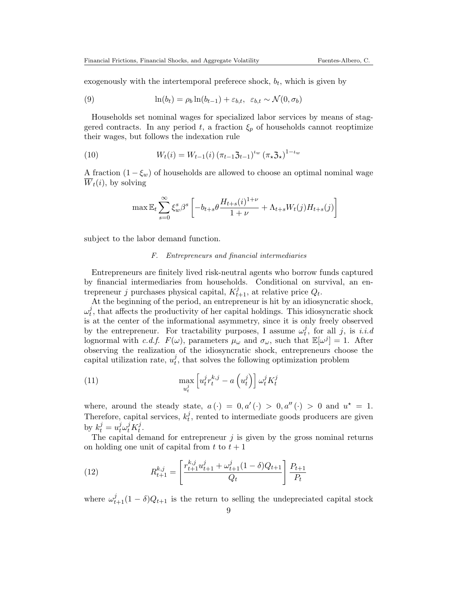exogenously with the intertemporal preferece shock,  $b_t$ , which is given by

(9) 
$$
\ln(b_t) = \rho_b \ln(b_{t-1}) + \varepsilon_{b,t}, \varepsilon_{b,t} \sim \mathcal{N}(0, \sigma_b)
$$

Households set nominal wages for specialized labor services by means of staggered contracts. In any period t, a fraction  $\xi_p$  of households cannot reoptimize their wages, but follows the indexation rule

(10) 
$$
W_t(i) = W_{t-1}(i) (\pi_{t-1} \mathfrak{Z}_{t-1})^{\iota_w} (\pi_{\star} \mathfrak{Z}_{\star})^{1-\iota_w}
$$

A fraction  $(1 - \xi_w)$  of households are allowed to choose an optimal nominal wage  $\overline{W}_t(i)$ , by solving

$$
\max \mathbb{E}_{t} \sum_{s=0}^{\infty} \xi_{w}^{s} \beta^{s} \left[ -b_{t+s} \theta \frac{H_{t+s}(i)^{1+\nu}}{1+\nu} + \Lambda_{t+s} W_{t}(j) H_{t+s}(j) \right]
$$

subject to the labor demand function.

## F. Entrepreneurs and financial intermediaries

Entrepreneurs are finitely lived risk-neutral agents who borrow funds captured by financial intermediaries from households. Conditional on survival, an entrepreneur j purchases physical capital,  $K_{t+1}^j$ , at relative price  $Q_t$ .

At the beginning of the period, an entrepreneur is hit by an idiosyncratic shock,  $\omega^j_t$  $t<sub>t</sub>$ , that affects the productivity of her capital holdings. This idiosyncratic shock is at the center of the informational asymmetry, since it is only freely observed by the entrepreneur. For tractability purposes, I assume  $\omega_t^j$  $t<sub>t</sub>$ , for all j, is *i.i.d* lognormal with c.d.f.  $F(\omega)$ , parameters  $\mu_{\omega}$  and  $\sigma_{\omega}$ , such that  $\mathbb{E}[\omega^j] = 1$ . After observing the realization of the idiosyncratic shock, entrepreneurs choose the capital utilization rate,  $u_t^j$  $t<sub>t</sub>$ , that solves the following optimization problem

(11) 
$$
\max_{u_t^j} \left[ u_t^j r_t^{k,j} - a\left(u_t^j\right) \right] \omega_t^j K_t^j
$$

where, around the steady state,  $a(\cdot) = 0, a'(\cdot) > 0, a''(\cdot) > 0$  and  $u^* = 1$ . Therefore, capital services,  $k_t^j$  $t<sub>t</sub>$ , rented to intermediate goods producers are given by  $k_t^j = u_t^j \omega_t^j K_t^j$  $\frac{j}{t}$ .

The capital demand for entrepreneur  $j$  is given by the gross nominal returns on holding one unit of capital from  $t$  to  $t + 1$ 

(12) 
$$
R_{t+1}^{k,j} = \left[\frac{r_{t+1}^{k,j}u_{t+1}^j + \omega_{t+1}^j(1-\delta)Q_{t+1}}{Q_t}\right]\frac{P_{t+1}}{P_t}
$$

where  $\omega_{t+1}^j(1-\delta)Q_{t+1}$  is the return to selling the undepreciated capital stock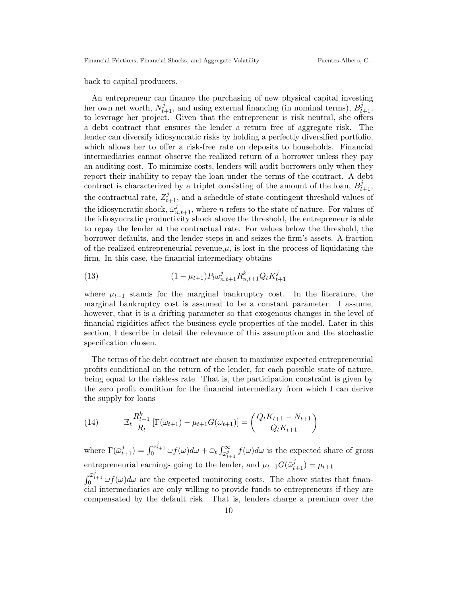back to capital producers.

An entrepreneur can finance the purchasing of new physical capital investing her own net worth,  $N_{t+1}^j$ , and using external financing (in nominal terms),  $B_{t+1}^j$ , to leverage her project. Given that the entrepreneur is risk neutral, she offers a debt contract that ensures the lender a return free of aggregate risk. The lender can diversify idiosyncratic risks by holding a perfectly diversified portfolio, which allows her to offer a risk-free rate on deposits to households. Financial intermediaries cannot observe the realized return of a borrower unless they pay an auditing cost. To minimize costs, lenders will audit borrowers only when they report their inability to repay the loan under the terms of the contract. A debt contract is characterized by a triplet consisting of the amount of the loan,  $B_{t+1}^j$ , the contractual rate,  $Z_{t+1}^j$ , and a schedule of state-contingent threshold values of the idiosyncratic shock,  $\bar{\omega}_{n,t+1}^j$ , where n refers to the state of nature. For values of the idiosyncratic productivity shock above the threshold, the entrepreneur is able to repay the lender at the contractual rate. For values below the threshold, the borrower defaults, and the lender steps in and seizes the firm's assets. A fraction of the realized entrepreneurial revenue, $\mu$ , is lost in the process of liquidating the firm. In this case, the financial intermediary obtains

(13) 
$$
(1 - \mu_{t+1}) P_t \omega_{n,t+1}^j R_{n,t+1}^k Q_t K_{t+1}^j
$$

where  $\mu_{t+1}$  stands for the marginal bankruptcy cost. In the literature, the marginal bankruptcy cost is assumed to be a constant parameter. I assume, however, that it is a drifting parameter so that exogenous changes in the level of financial rigidities affect the business cycle properties of the model. Later in this section, I describe in detail the relevance of this assumption and the stochastic specification chosen.

The terms of the debt contract are chosen to maximize expected entrepreneurial profits conditional on the return of the lender, for each possible state of nature, being equal to the riskless rate. That is, the participation constraint is given by the zero profit condition for the financial intermediary from which I can derive the supply for loans

(14) 
$$
\mathbb{E}_{t} \frac{R_{t+1}^{k}}{R_{t}} \left[ \Gamma(\bar{\omega}_{t+1}) - \mu_{t+1} G(\bar{\omega}_{t+1}) \right] = \left( \frac{Q_{t} K_{t+1} - N_{t+1}}{Q_{t} K_{t+1}} \right)
$$

where  $\Gamma(\bar{\omega}_{t+1}^j) = \int_0^{\bar{\omega}_{t+1}^j} \omega f(\omega) d\omega + \bar{\omega}_t \int_{\bar{\omega}_{t+1}^j}^{\infty} f(\omega) d\omega$  is the expected share of gross entrepreneurial earnings going to the lender, and  $\mu_{t+1} G(\bar{\omega}_{t+1}^j) = \mu_{t+1}$ 

 $\int_0^{\bar{\omega}_{t+1}^j} \omega f(\omega) d\omega$  are the expected monitoring costs. The above states that financial intermediaries are only willing to provide funds to entrepreneurs if they are compensated by the default risk. That is, lenders charge a premium over the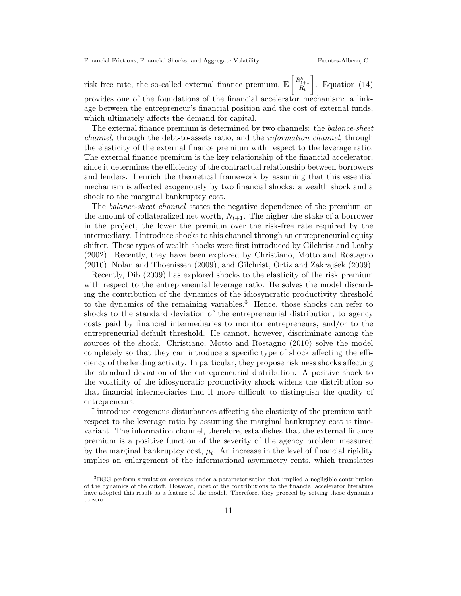risk free rate, the so-called external finance premium,  $\mathbb{E}\left[\frac{R_{t+1}^k}{R_t}\right]$  $\Big]$ . Equation (14) provides one of the foundations of the financial accelerator mechanism: a linkage between the entrepreneur's financial position and the cost of external funds, which ultimately affects the demand for capital.

The external finance premium is determined by two channels: the balance-sheet channel, through the debt-to-assets ratio, and the information channel, through the elasticity of the external finance premium with respect to the leverage ratio. The external finance premium is the key relationship of the financial accelerator, since it determines the efficiency of the contractual relationship between borrowers and lenders. I enrich the theoretical framework by assuming that this essential mechanism is affected exogenously by two financial shocks: a wealth shock and a shock to the marginal bankruptcy cost.

The balance-sheet channel states the negative dependence of the premium on the amount of collateralized net worth,  $N_{t+1}$ . The higher the stake of a borrower in the project, the lower the premium over the risk-free rate required by the intermediary. I introduce shocks to this channel through an entrepreneurial equity shifter. These types of wealth shocks were first introduced by Gilchrist and Leahy (2002). Recently, they have been explored by Christiano, Motto and Rostagno  $(2010)$ , Nolan and Thoenissen  $(2009)$ , and Gilchrist, Ortiz and Zakrajšek  $(2009)$ .

Recently, Dib (2009) has explored shocks to the elasticity of the risk premium with respect to the entrepreneurial leverage ratio. He solves the model discarding the contribution of the dynamics of the idiosyncratic productivity threshold to the dynamics of the remaining variables.<sup>3</sup> Hence, those shocks can refer to shocks to the standard deviation of the entrepreneurial distribution, to agency costs paid by financial intermediaries to monitor entrepreneurs, and/or to the entrepreneurial default threshold. He cannot, however, discriminate among the sources of the shock. Christiano, Motto and Rostagno (2010) solve the model completely so that they can introduce a specific type of shock affecting the efficiency of the lending activity. In particular, they propose riskiness shocks affecting the standard deviation of the entrepreneurial distribution. A positive shock to the volatility of the idiosyncratic productivity shock widens the distribution so that financial intermediaries find it more difficult to distinguish the quality of entrepreneurs.

I introduce exogenous disturbances affecting the elasticity of the premium with respect to the leverage ratio by assuming the marginal bankruptcy cost is timevariant. The information channel, therefore, establishes that the external finance premium is a positive function of the severity of the agency problem measured by the marginal bankruptcy cost,  $\mu_t$ . An increase in the level of financial rigidity implies an enlargement of the informational asymmetry rents, which translates

<sup>&</sup>lt;sup>3</sup>BGG perform simulation exercises under a parameterization that implied a negligible contribution of the dynamics of the cutoff. However, most of the contributions to the financial accelerator literature have adopted this result as a feature of the model. Therefore, they proceed by setting those dynamics to zero.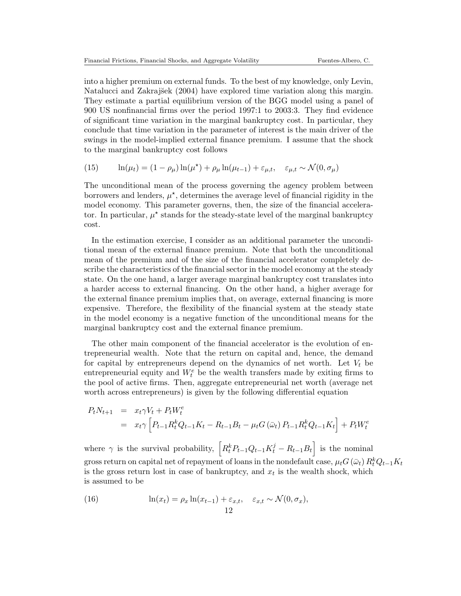into a higher premium on external funds. To the best of my knowledge, only Levin, Natalucci and Zakrajšek (2004) have explored time variation along this margin. They estimate a partial equilibrium version of the BGG model using a panel of 900 US nonfinancial firms over the period 1997:1 to 2003:3. They find evidence of significant time variation in the marginal bankruptcy cost. In particular, they conclude that time variation in the parameter of interest is the main driver of the swings in the model-implied external finance premium. I assume that the shock to the marginal bankruptcy cost follows

(15) 
$$
\ln(\mu_t) = (1 - \rho_\mu) \ln(\mu^\star) + \rho_\mu \ln(\mu_{t-1}) + \varepsilon_{\mu,t}, \quad \varepsilon_{\mu,t} \sim \mathcal{N}(0, \sigma_\mu)
$$

The unconditional mean of the process governing the agency problem between borrowers and lenders,  $\mu^*$ , determines the average level of financial rigidity in the model economy. This parameter governs, then, the size of the financial accelerator. In particular,  $\mu^*$  stands for the steady-state level of the marginal bankruptcy cost.

In the estimation exercise, I consider as an additional parameter the unconditional mean of the external finance premium. Note that both the unconditional mean of the premium and of the size of the financial accelerator completely describe the characteristics of the financial sector in the model economy at the steady state. On the one hand, a larger average marginal bankruptcy cost translates into a harder access to external financing. On the other hand, a higher average for the external finance premium implies that, on average, external financing is more expensive. Therefore, the flexibility of the financial system at the steady state in the model economy is a negative function of the unconditional means for the marginal bankruptcy cost and the external finance premium.

The other main component of the financial accelerator is the evolution of entrepreneurial wealth. Note that the return on capital and, hence, the demand for capital by entrepreneurs depend on the dynamics of net worth. Let  $V_t$  be entrepreneurial equity and  $W_t^e$  be the wealth transfers made by exiting firms to the pool of active firms. Then, aggregate entrepreneurial net worth (average net worth across entrepreneurs) is given by the following differential equation

$$
P_t N_{t+1} = x_t \gamma V_t + P_t W_t^e
$$
  
=  $x_t \gamma \left[ P_{t-1} R_t^k Q_{t-1} K_t - R_{t-1} B_t - \mu_t G(\bar{\omega}_t) P_{t-1} R_t^k Q_{t-1} K_t \right] + P_t W_t^e$ 

where  $\gamma$  is the survival probability,  $\left[R_t^k P_{t-1} Q_{t-1} K_t^j - R_{t-1} B_t\right]$  is the nominal gross return on capital net of repayment of loans in the nondefault case,  $\mu_t G\left(\bar{\omega}_t\right) R_t^k Q_{t-1} K_t$ is the gross return lost in case of bankruptcy, and  $x_t$  is the wealth shock, which is assumed to be

(16) 
$$
\ln(x_t) = \rho_x \ln(x_{t-1}) + \varepsilon_{x,t}, \quad \varepsilon_{x,t} \sim \mathcal{N}(0, \sigma_x),
$$

$$
12
$$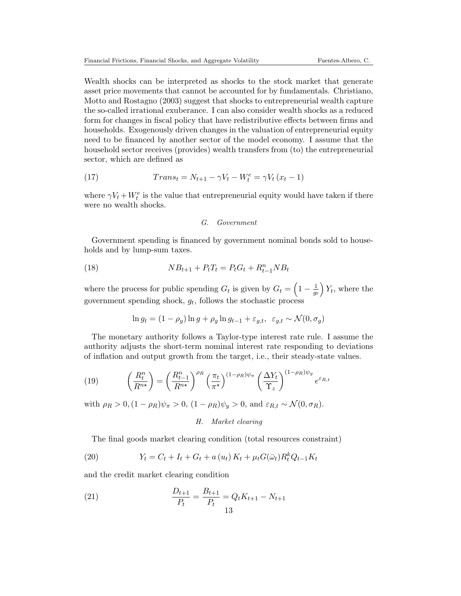Wealth shocks can be interpreted as shocks to the stock market that generate asset price movements that cannot be accounted for by fundamentals. Christiano, Motto and Rostagno (2003) suggest that shocks to entrepreneurial wealth capture the so-called irrational exuberance. I can also consider wealth shocks as a reduced form for changes in fiscal policy that have redistributive effects between firms and households. Exogenously driven changes in the valuation of entrepreneurial equity need to be financed by another sector of the model economy. I assume that the household sector receives (provides) wealth transfers from (to) the entrepreneurial sector, which are defined as

(17) 
$$
Trans_{t} = N_{t+1} - \gamma V_{t} - W_{t}^{e} = \gamma V_{t} (x_{t} - 1)
$$

where  $\gamma V_t + W_t^e$  is the value that entrepreneurial equity would have taken if there were no wealth shocks.

## G. Government

Government spending is financed by government nominal bonds sold to households and by lump-sum taxes.

(18) 
$$
NB_{t+1} + P_tT_t = P_tG_t + R_{t-1}^n NB_t
$$

where the process for public spending  $G_t$  is given by  $G_t = \left(1 - \frac{1}{a_t}\right)$  $\overline{g_t}$  $Y_t$ , where the government spending shock,  $g_t$ , follows the stochastic process

$$
\ln g_t = (1 - \rho_g) \ln g + \rho_g \ln g_{t-1} + \varepsilon_{g,t}, \varepsilon_{g,t} \sim \mathcal{N}(0, \sigma_g)
$$

The monetary authority follows a Taylor-type interest rate rule. I assume the authority adjusts the short-term nominal interest rate responding to deviations of inflation and output growth from the target, i.e., their steady-state values.

(19) 
$$
\left(\frac{R_t^n}{R^{n\star}}\right) = \left(\frac{R_{t-1}^n}{R^{n\star}}\right)^{\rho_R} \left(\frac{\pi_t}{\pi^{\star}}\right)^{(1-\rho_R)\psi_{\pi}} \left(\frac{\Delta Y_t}{\Upsilon_z}\right)^{(1-\rho_R)\psi_y} e^{\varepsilon_{R,t}}
$$

with  $\rho_R > 0$ ,  $(1 - \rho_R)\psi_\pi > 0$ ,  $(1 - \rho_R)\psi_u > 0$ , and  $\varepsilon_{R,t} \sim \mathcal{N}(0, \sigma_R)$ .

## H. Market clearing

The final goods market clearing condition (total resources constraint)

(20) 
$$
Y_t = C_t + I_t + G_t + a(u_t) K_t + \mu_t G(\bar{\omega}_t) R_t^k Q_{t-1} K_t
$$

and the credit market clearing condition

(21) 
$$
\frac{D_{t+1}}{P_t} = \frac{B_{t+1}}{P_t} = Q_t K_{t+1} - N_{t+1}
$$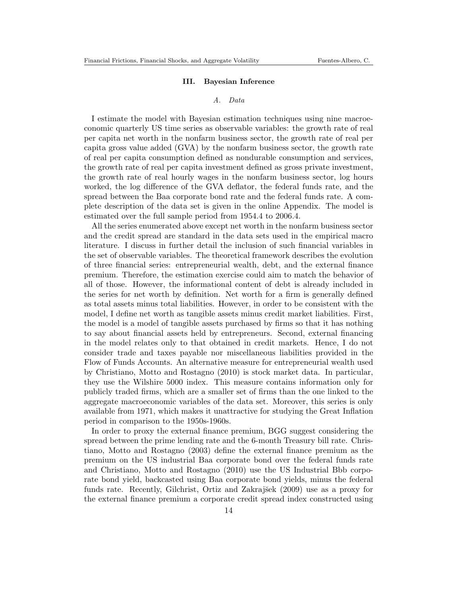## III. Bayesian Inference

## A. Data

I estimate the model with Bayesian estimation techniques using nine macroeconomic quarterly US time series as observable variables: the growth rate of real per capita net worth in the nonfarm business sector, the growth rate of real per capita gross value added (GVA) by the nonfarm business sector, the growth rate of real per capita consumption defined as nondurable consumption and services, the growth rate of real per capita investment defined as gross private investment, the growth rate of real hourly wages in the nonfarm business sector, log hours worked, the log difference of the GVA deflator, the federal funds rate, and the spread between the Baa corporate bond rate and the federal funds rate. A complete description of the data set is given in the online Appendix. The model is estimated over the full sample period from 1954.4 to 2006.4.

All the series enumerated above except net worth in the nonfarm business sector and the credit spread are standard in the data sets used in the empirical macro literature. I discuss in further detail the inclusion of such financial variables in the set of observable variables. The theoretical framework describes the evolution of three financial series: entrepreneurial wealth, debt, and the external finance premium. Therefore, the estimation exercise could aim to match the behavior of all of those. However, the informational content of debt is already included in the series for net worth by definition. Net worth for a firm is generally defined as total assets minus total liabilities. However, in order to be consistent with the model, I define net worth as tangible assets minus credit market liabilities. First, the model is a model of tangible assets purchased by firms so that it has nothing to say about financial assets held by entrepreneurs. Second, external financing in the model relates only to that obtained in credit markets. Hence, I do not consider trade and taxes payable nor miscellaneous liabilities provided in the Flow of Funds Accounts. An alternative measure for entrepreneurial wealth used by Christiano, Motto and Rostagno (2010) is stock market data. In particular, they use the Wilshire 5000 index. This measure contains information only for publicly traded firms, which are a smaller set of firms than the one linked to the aggregate macroeconomic variables of the data set. Moreover, this series is only available from 1971, which makes it unattractive for studying the Great Inflation period in comparison to the 1950s-1960s.

In order to proxy the external finance premium, BGG suggest considering the spread between the prime lending rate and the 6-month Treasury bill rate. Christiano, Motto and Rostagno (2003) define the external finance premium as the premium on the US industrial Baa corporate bond over the federal funds rate and Christiano, Motto and Rostagno (2010) use the US Industrial Bbb corporate bond yield, backcasted using Baa corporate bond yields, minus the federal funds rate. Recently, Gilchrist, Ortiz and Zakrajšek (2009) use as a proxy for the external finance premium a corporate credit spread index constructed using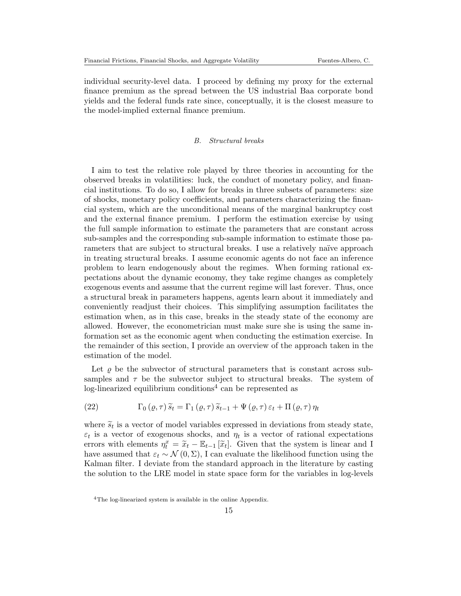individual security-level data. I proceed by defining my proxy for the external finance premium as the spread between the US industrial Baa corporate bond yields and the federal funds rate since, conceptually, it is the closest measure to the model-implied external finance premium.

## B. Structural breaks

I aim to test the relative role played by three theories in accounting for the observed breaks in volatilities: luck, the conduct of monetary policy, and financial institutions. To do so, I allow for breaks in three subsets of parameters: size of shocks, monetary policy coefficients, and parameters characterizing the financial system, which are the unconditional means of the marginal bankruptcy cost and the external finance premium. I perform the estimation exercise by using the full sample information to estimate the parameters that are constant across sub-samples and the corresponding sub-sample information to estimate those parameters that are subject to structural breaks. I use a relatively naïve approach in treating structural breaks. I assume economic agents do not face an inference problem to learn endogenously about the regimes. When forming rational expectations about the dynamic economy, they take regime changes as completely exogenous events and assume that the current regime will last forever. Thus, once a structural break in parameters happens, agents learn about it immediately and conveniently readjust their choices. This simplifying assumption facilitates the estimation when, as in this case, breaks in the steady state of the economy are allowed. However, the econometrician must make sure she is using the same information set as the economic agent when conducting the estimation exercise. In the remainder of this section, I provide an overview of the approach taken in the estimation of the model.

Let  $\rho$  be the subvector of structural parameters that is constant across subsamples and  $\tau$  be the subvector subject to structural breaks. The system of  $log$ -linearized equilibrium conditions<sup>4</sup> can be represented as

(22) 
$$
\Gamma_0(\varrho,\tau)\tilde{s}_t = \Gamma_1(\varrho,\tau)\tilde{s}_{t-1} + \Psi(\varrho,\tau)\varepsilon_t + \Pi(\varrho,\tau)\eta_t
$$

where  $\tilde{s}_t$  is a vector of model variables expressed in deviations from steady state,  $\varepsilon_t$  is a vector of exogenous shocks, and  $\eta_t$  is a vector of rational expectations errors with elements  $\eta_t^x = \tilde{x}_t - \mathbb{E}_{t-1}[\tilde{x}_t]$ . Given that the system is linear and I<br>have assumed that  $\tilde{x}_t \in \mathcal{N}(0, \Sigma)$ . Leap evaluate the likelihood function using the have assumed that  $\varepsilon_t \sim \mathcal{N}(0, \Sigma)$ , I can evaluate the likelihood function using the Kalman filter. I deviate from the standard approach in the literature by casting the solution to the LRE model in state space form for the variables in log-levels

<sup>4</sup>The log-linearized system is available in the online Appendix.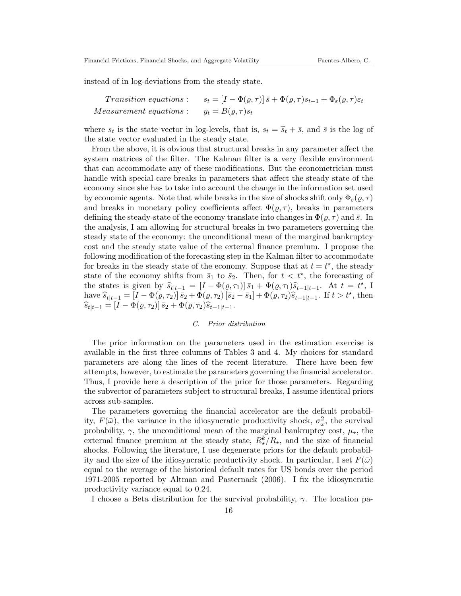instead of in log-deviations from the steady state.

*Transition equations*: 
$$
s_t = [I - \Phi(\varrho, \tau)] \bar{s} + \Phi(\varrho, \tau) s_{t-1} + \Phi_{\varepsilon}(\varrho, \tau) \varepsilon_t
$$
  
*Measurement equations*:  $y_t = B(\varrho, \tau) s_t$ 

where  $s_t$  is the state vector in log-levels, that is,  $s_t = \tilde{s}_t + \bar{s}$ , and  $\bar{s}$  is the log of<br>the state vector evaluated in the stocky state. the state vector evaluated in the steady state.

From the above, it is obvious that structural breaks in any parameter affect the system matrices of the filter. The Kalman filter is a very flexible environment that can accommodate any of these modifications. But the econometrician must handle with special care breaks in parameters that affect the steady state of the economy since she has to take into account the change in the information set used by economic agents. Note that while breaks in the size of shocks shift only  $\Phi_{\varepsilon}(\rho,\tau)$ and breaks in monetary policy coefficients affect  $\Phi(\rho, \tau)$ , breaks in parameters defining the steady-state of the economy translate into changes in  $\Phi(\varrho, \tau)$  and  $\bar{s}$ . In the analysis, I am allowing for structural breaks in two parameters governing the steady state of the economy: the unconditional mean of the marginal bankruptcy cost and the steady state value of the external finance premium. I propose the following modification of the forecasting step in the Kalman filter to accommodate for breaks in the steady state of the economy. Suppose that at  $t = t^*$ , the steady state of the economy shifts from  $\bar{s}_1$  to  $\bar{s}_2$ . Then, for  $t < t^*$ , the forecasting of the states is given by  $\hat{s}_{t|t-1} = [I - \Phi(\varrho, \tau_1)] \bar{s}_1 + \Phi(\varrho, \tau_1) \hat{s}_{t-1|t-1}$ . At  $t = t^*$ , I<br>have  $\hat{s}_t = [I - \Phi(\varrho, \tau_1)] \bar{s}_1 + \Phi(\varrho, \tau_1) \bar{s}_{t-1|t-1}$ . If  $t > t^*$  then have  $\hat{s}_{t|t-1} = [I - \Phi(\varrho, \tau_2)] \bar{s}_2 + \bar{\Phi}(\varrho, \tau_2) [\bar{s}_2 - \bar{s}_1] + \Phi(\varrho, \tau_2) \hat{s}_{t-1|t-1}$ . If  $t > t^*$ , then  $\widehat{s}_{t|t-1} = [I - \Phi(\varrho, \tau_2)] \,\bar{s}_2 + \Phi(\varrho, \tau_2)\widehat{s}_{t-1|t-1}.$ 

## C. Prior distribution

The prior information on the parameters used in the estimation exercise is available in the first three columns of Tables 3 and 4. My choices for standard parameters are along the lines of the recent literature. There have been few attempts, however, to estimate the parameters governing the financial accelerator. Thus, I provide here a description of the prior for those parameters. Regarding the subvector of parameters subject to structural breaks, I assume identical priors across sub-samples.

The parameters governing the financial accelerator are the default probability,  $F(\bar{\omega})$ , the variance in the idiosyncratic productivity shock,  $\sigma_{\omega}^2$ , the survival probability,  $\gamma$ , the unconditional mean of the marginal bankruptcy cost,  $\mu_{\star}$ , the external finance premium at the steady state,  $R_{\star}^{k}/R_{\star}$ , and the size of financial shocks. Following the literature, I use degenerate priors for the default probability and the size of the idiosyncratic productivity shock. In particular, I set  $F(\bar{\omega})$ equal to the average of the historical default rates for US bonds over the period 1971-2005 reported by Altman and Pasternack (2006). I fix the idiosyncratic productivity variance equal to 0.24.

I choose a Beta distribution for the survival probability,  $\gamma$ . The location pa-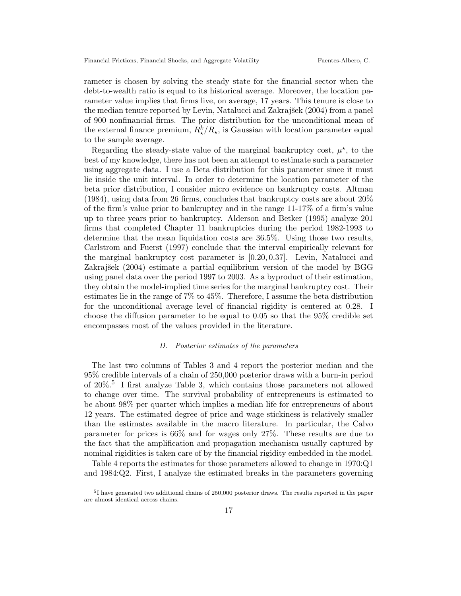rameter is chosen by solving the steady state for the financial sector when the debt-to-wealth ratio is equal to its historical average. Moreover, the location parameter value implies that firms live, on average, 17 years. This tenure is close to the median tenure reported by Levin, Natalucci and Zakrajšek (2004) from a panel of 900 nonfinancial firms. The prior distribution for the unconditional mean of the external finance premium,  $R_{\star}^{k}/R_{\star}$ , is Gaussian with location parameter equal to the sample average.

Regarding the steady-state value of the marginal bankruptcy cost,  $\mu^*$ , to the best of my knowledge, there has not been an attempt to estimate such a parameter using aggregate data. I use a Beta distribution for this parameter since it must lie inside the unit interval. In order to determine the location parameter of the beta prior distribution, I consider micro evidence on bankruptcy costs. Altman  $(1984)$ , using data from 26 firms, concludes that bankruptcy costs are about  $20\%$ of the firm's value prior to bankruptcy and in the range 11-17% of a firm's value up to three years prior to bankruptcy. Alderson and Betker (1995) analyze 201 firms that completed Chapter 11 bankruptcies during the period 1982-1993 to determine that the mean liquidation costs are 36.5%. Using those two results, Carlstrom and Fuerst (1997) conclude that the interval empirically relevant for the marginal bankruptcy cost parameter is [0.20, 0.37]. Levin, Natalucci and Zakrajšek (2004) estimate a partial equilibrium version of the model by BGG using panel data over the period 1997 to 2003. As a byproduct of their estimation, they obtain the model-implied time series for the marginal bankruptcy cost. Their estimates lie in the range of 7% to 45%. Therefore, I assume the beta distribution for the unconditional average level of financial rigidity is centered at 0.28. I choose the diffusion parameter to be equal to 0.05 so that the 95% credible set encompasses most of the values provided in the literature.

## D. Posterior estimates of the parameters

The last two columns of Tables 3 and 4 report the posterior median and the 95% credible intervals of a chain of 250,000 posterior draws with a burn-in period of 20%.<sup>5</sup> I first analyze Table 3, which contains those parameters not allowed to change over time. The survival probability of entrepreneurs is estimated to be about 98% per quarter which implies a median life for entrepreneurs of about 12 years. The estimated degree of price and wage stickiness is relatively smaller than the estimates available in the macro literature. In particular, the Calvo parameter for prices is 66% and for wages only 27%. These results are due to the fact that the amplification and propagation mechanism usually captured by nominal rigidities is taken care of by the financial rigidity embedded in the model.

Table 4 reports the estimates for those parameters allowed to change in 1970:Q1 and 1984:Q2. First, I analyze the estimated breaks in the parameters governing

<sup>&</sup>lt;sup>5</sup>I have generated two additional chains of 250,000 posterior draws. The results reported in the paper are almost identical across chains.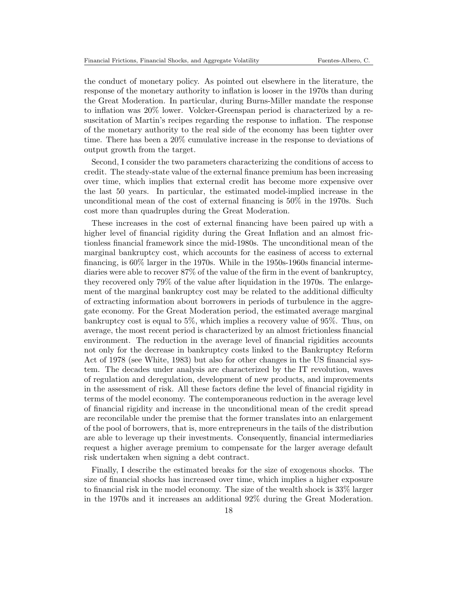the conduct of monetary policy. As pointed out elsewhere in the literature, the response of the monetary authority to inflation is looser in the 1970s than during the Great Moderation. In particular, during Burns-Miller mandate the response to inflation was 20% lower. Volcker-Greenspan period is characterized by a resuscitation of Martin's recipes regarding the response to inflation. The response of the monetary authority to the real side of the economy has been tighter over time. There has been a 20% cumulative increase in the response to deviations of output growth from the target.

Second, I consider the two parameters characterizing the conditions of access to credit. The steady-state value of the external finance premium has been increasing over time, which implies that external credit has become more expensive over the last 50 years. In particular, the estimated model-implied increase in the unconditional mean of the cost of external financing is 50% in the 1970s. Such cost more than quadruples during the Great Moderation.

These increases in the cost of external financing have been paired up with a higher level of financial rigidity during the Great Inflation and an almost frictionless financial framework since the mid-1980s. The unconditional mean of the marginal bankruptcy cost, which accounts for the easiness of access to external financing, is 60% larger in the 1970s. While in the 1950s-1960s financial intermediaries were able to recover 87% of the value of the firm in the event of bankruptcy, they recovered only 79% of the value after liquidation in the 1970s. The enlargement of the marginal bankruptcy cost may be related to the additional difficulty of extracting information about borrowers in periods of turbulence in the aggregate economy. For the Great Moderation period, the estimated average marginal bankruptcy cost is equal to 5%, which implies a recovery value of 95%. Thus, on average, the most recent period is characterized by an almost frictionless financial environment. The reduction in the average level of financial rigidities accounts not only for the decrease in bankruptcy costs linked to the Bankruptcy Reform Act of 1978 (see White, 1983) but also for other changes in the US financial system. The decades under analysis are characterized by the IT revolution, waves of regulation and deregulation, development of new products, and improvements in the assessment of risk. All these factors define the level of financial rigidity in terms of the model economy. The contemporaneous reduction in the average level of financial rigidity and increase in the unconditional mean of the credit spread are reconcilable under the premise that the former translates into an enlargement of the pool of borrowers, that is, more entrepreneurs in the tails of the distribution are able to leverage up their investments. Consequently, financial intermediaries request a higher average premium to compensate for the larger average default risk undertaken when signing a debt contract.

Finally, I describe the estimated breaks for the size of exogenous shocks. The size of financial shocks has increased over time, which implies a higher exposure to financial risk in the model economy. The size of the wealth shock is 33% larger in the 1970s and it increases an additional 92% during the Great Moderation.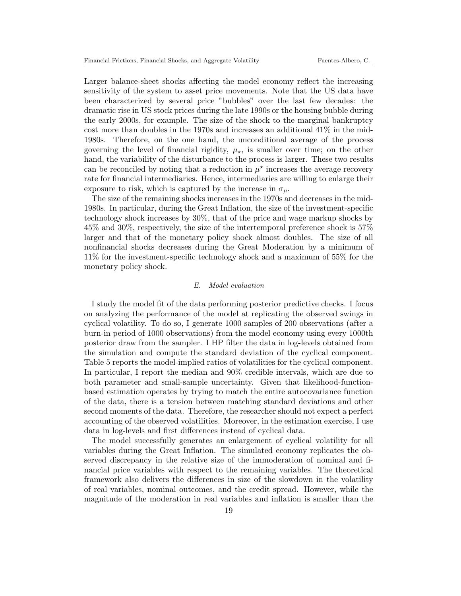Larger balance-sheet shocks affecting the model economy reflect the increasing sensitivity of the system to asset price movements. Note that the US data have been characterized by several price "bubbles" over the last few decades: the dramatic rise in US stock prices during the late 1990s or the housing bubble during the early 2000s, for example. The size of the shock to the marginal bankruptcy cost more than doubles in the 1970s and increases an additional 41% in the mid-1980s. Therefore, on the one hand, the unconditional average of the process governing the level of financial rigidity,  $\mu_{\star}$ , is smaller over time; on the other hand, the variability of the disturbance to the process is larger. These two results can be reconciled by noting that a reduction in  $\mu^*$  increases the average recovery rate for financial intermediaries. Hence, intermediaries are willing to enlarge their exposure to risk, which is captured by the increase in  $\sigma_{\mu}$ .

The size of the remaining shocks increases in the 1970s and decreases in the mid-1980s. In particular, during the Great Inflation, the size of the investment-specific technology shock increases by 30%, that of the price and wage markup shocks by 45% and 30%, respectively, the size of the intertemporal preference shock is 57% larger and that of the monetary policy shock almost doubles. The size of all nonfinancial shocks decreases during the Great Moderation by a minimum of 11% for the investment-specific technology shock and a maximum of 55% for the monetary policy shock.

## E. Model evaluation

I study the model fit of the data performing posterior predictive checks. I focus on analyzing the performance of the model at replicating the observed swings in cyclical volatility. To do so, I generate 1000 samples of 200 observations (after a burn-in period of 1000 observations) from the model economy using every 1000th posterior draw from the sampler. I HP filter the data in log-levels obtained from the simulation and compute the standard deviation of the cyclical component. Table 5 reports the model-implied ratios of volatilities for the cyclical component. In particular, I report the median and 90% credible intervals, which are due to both parameter and small-sample uncertainty. Given that likelihood-functionbased estimation operates by trying to match the entire autocovariance function of the data, there is a tension between matching standard deviations and other second moments of the data. Therefore, the researcher should not expect a perfect accounting of the observed volatilities. Moreover, in the estimation exercise, I use data in log-levels and first differences instead of cyclical data.

The model successfully generates an enlargement of cyclical volatility for all variables during the Great Inflation. The simulated economy replicates the observed discrepancy in the relative size of the immoderation of nominal and financial price variables with respect to the remaining variables. The theoretical framework also delivers the differences in size of the slowdown in the volatility of real variables, nominal outcomes, and the credit spread. However, while the magnitude of the moderation in real variables and inflation is smaller than the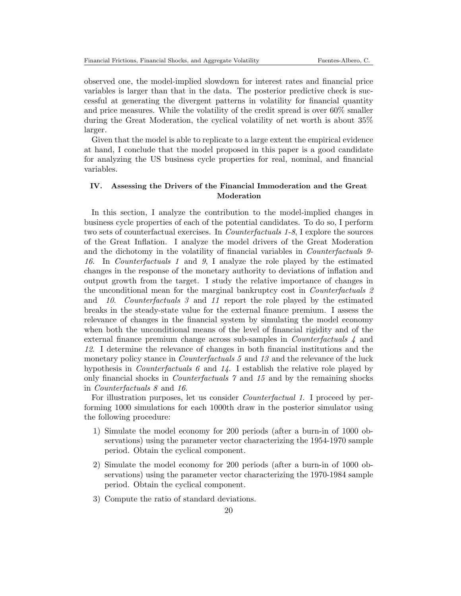observed one, the model-implied slowdown for interest rates and financial price variables is larger than that in the data. The posterior predictive check is successful at generating the divergent patterns in volatility for financial quantity and price measures. While the volatility of the credit spread is over 60% smaller during the Great Moderation, the cyclical volatility of net worth is about 35% larger.

Given that the model is able to replicate to a large extent the empirical evidence at hand, I conclude that the model proposed in this paper is a good candidate for analyzing the US business cycle properties for real, nominal, and financial variables.

## IV. Assessing the Drivers of the Financial Immoderation and the Great Moderation

In this section, I analyze the contribution to the model-implied changes in business cycle properties of each of the potential candidates. To do so, I perform two sets of counterfactual exercises. In Counterfactuals 1-8, I explore the sources of the Great Inflation. I analyze the model drivers of the Great Moderation and the dichotomy in the volatility of financial variables in *Counterfactuals* 9-16. In Counterfactuals 1 and 9, I analyze the role played by the estimated changes in the response of the monetary authority to deviations of inflation and output growth from the target. I study the relative importance of changes in the unconditional mean for the marginal bankruptcy cost in Counterfactuals 2 and 10. Counterfactuals 3 and 11 report the role played by the estimated breaks in the steady-state value for the external finance premium. I assess the relevance of changes in the financial system by simulating the model economy when both the unconditional means of the level of financial rigidity and of the external finance premium change across sub-samples in Counterfactuals 4 and 12. I determine the relevance of changes in both financial institutions and the monetary policy stance in *Counterfactuals 5* and 13 and the relevance of the luck hypothesis in *Counterfactuals 6* and  $14$ . I establish the relative role played by only financial shocks in Counterfactuals 7 and 15 and by the remaining shocks in Counterfactuals 8 and 16.

For illustration purposes, let us consider *Counterfactual 1*. I proceed by performing 1000 simulations for each 1000th draw in the posterior simulator using the following procedure:

- 1) Simulate the model economy for 200 periods (after a burn-in of 1000 observations) using the parameter vector characterizing the 1954-1970 sample period. Obtain the cyclical component.
- 2) Simulate the model economy for 200 periods (after a burn-in of 1000 observations) using the parameter vector characterizing the 1970-1984 sample period. Obtain the cyclical component.
- 3) Compute the ratio of standard deviations.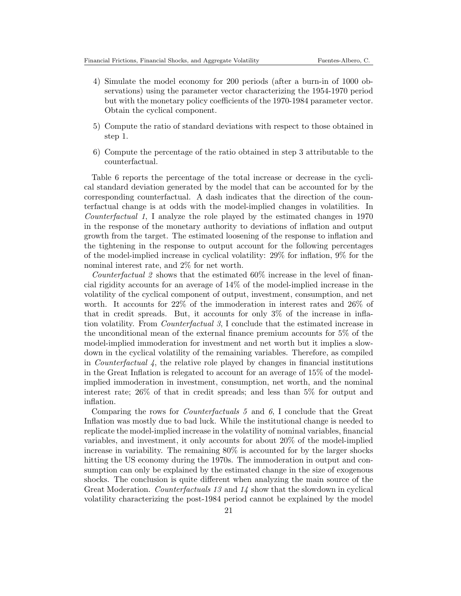- 4) Simulate the model economy for 200 periods (after a burn-in of 1000 observations) using the parameter vector characterizing the 1954-1970 period but with the monetary policy coefficients of the 1970-1984 parameter vector. Obtain the cyclical component.
- 5) Compute the ratio of standard deviations with respect to those obtained in step 1.
- 6) Compute the percentage of the ratio obtained in step 3 attributable to the counterfactual.

Table 6 reports the percentage of the total increase or decrease in the cyclical standard deviation generated by the model that can be accounted for by the corresponding counterfactual. A dash indicates that the direction of the counterfactual change is at odds with the model-implied changes in volatilities. In Counterfactual 1, I analyze the role played by the estimated changes in 1970 in the response of the monetary authority to deviations of inflation and output growth from the target. The estimated loosening of the response to inflation and the tightening in the response to output account for the following percentages of the model-implied increase in cyclical volatility: 29% for inflation, 9% for the nominal interest rate, and 2% for net worth.

Counterfactual 2 shows that the estimated 60% increase in the level of financial rigidity accounts for an average of 14% of the model-implied increase in the volatility of the cyclical component of output, investment, consumption, and net worth. It accounts for 22% of the immoderation in interest rates and 26% of that in credit spreads. But, it accounts for only 3% of the increase in inflation volatility. From *Counterfactual* 3, I conclude that the estimated increase in the unconditional mean of the external finance premium accounts for 5% of the model-implied immoderation for investment and net worth but it implies a slowdown in the cyclical volatility of the remaining variables. Therefore, as compiled in *Counterfactual 4*, the relative role played by changes in financial institutions in the Great Inflation is relegated to account for an average of 15% of the modelimplied immoderation in investment, consumption, net worth, and the nominal interest rate; 26% of that in credit spreads; and less than 5% for output and inflation.

Comparing the rows for Counterfactuals 5 and 6, I conclude that the Great Inflation was mostly due to bad luck. While the institutional change is needed to replicate the model-implied increase in the volatility of nominal variables, financial variables, and investment, it only accounts for about 20% of the model-implied increase in variability. The remaining 80% is accounted for by the larger shocks hitting the US economy during the 1970s. The immoderation in output and consumption can only be explained by the estimated change in the size of exogenous shocks. The conclusion is quite different when analyzing the main source of the Great Moderation. Counterfactuals 13 and 14 show that the slowdown in cyclical volatility characterizing the post-1984 period cannot be explained by the model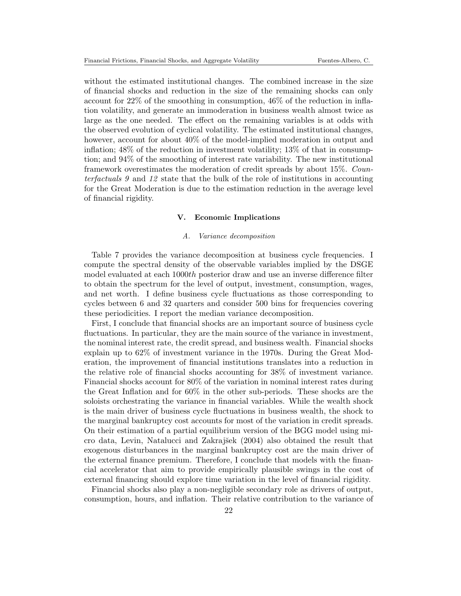without the estimated institutional changes. The combined increase in the size of financial shocks and reduction in the size of the remaining shocks can only account for 22% of the smoothing in consumption, 46% of the reduction in inflation volatility, and generate an immoderation in business wealth almost twice as large as the one needed. The effect on the remaining variables is at odds with the observed evolution of cyclical volatility. The estimated institutional changes, however, account for about  $40\%$  of the model-implied moderation in output and inflation;  $48\%$  of the reduction in investment volatility;  $13\%$  of that in consumption; and 94% of the smoothing of interest rate variability. The new institutional framework overestimates the moderation of credit spreads by about 15%. Counterfactuals 9 and 12 state that the bulk of the role of institutions in accounting for the Great Moderation is due to the estimation reduction in the average level of financial rigidity.

## V. Economic Implications

## A. Variance decomposition

Table 7 provides the variance decomposition at business cycle frequencies. I compute the spectral density of the observable variables implied by the DSGE model evaluated at each 1000th posterior draw and use an inverse difference filter to obtain the spectrum for the level of output, investment, consumption, wages, and net worth. I define business cycle fluctuations as those corresponding to cycles between 6 and 32 quarters and consider 500 bins for frequencies covering these periodicities. I report the median variance decomposition.

First, I conclude that financial shocks are an important source of business cycle fluctuations. In particular, they are the main source of the variance in investment, the nominal interest rate, the credit spread, and business wealth. Financial shocks explain up to 62% of investment variance in the 1970s. During the Great Moderation, the improvement of financial institutions translates into a reduction in the relative role of financial shocks accounting for 38% of investment variance. Financial shocks account for 80% of the variation in nominal interest rates during the Great Inflation and for 60% in the other sub-periods. These shocks are the soloists orchestrating the variance in financial variables. While the wealth shock is the main driver of business cycle fluctuations in business wealth, the shock to the marginal bankruptcy cost accounts for most of the variation in credit spreads. On their estimation of a partial equilibrium version of the BGG model using micro data, Levin, Natalucci and Zakrajšek (2004) also obtained the result that exogenous disturbances in the marginal bankruptcy cost are the main driver of the external finance premium. Therefore, I conclude that models with the financial accelerator that aim to provide empirically plausible swings in the cost of external financing should explore time variation in the level of financial rigidity.

Financial shocks also play a non-negligible secondary role as drivers of output, consumption, hours, and inflation. Their relative contribution to the variance of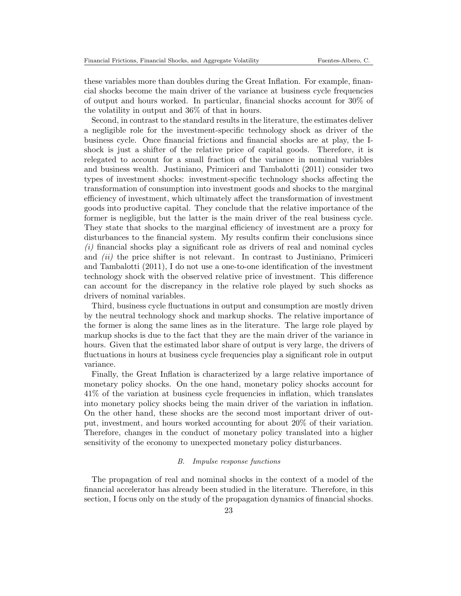these variables more than doubles during the Great Inflation. For example, financial shocks become the main driver of the variance at business cycle frequencies of output and hours worked. In particular, financial shocks account for 30% of the volatility in output and 36% of that in hours.

Second, in contrast to the standard results in the literature, the estimates deliver a negligible role for the investment-specific technology shock as driver of the business cycle. Once financial frictions and financial shocks are at play, the Ishock is just a shifter of the relative price of capital goods. Therefore, it is relegated to account for a small fraction of the variance in nominal variables and business wealth. Justiniano, Primiceri and Tambalotti (2011) consider two types of investment shocks: investment-specific technology shocks affecting the transformation of consumption into investment goods and shocks to the marginal efficiency of investment, which ultimately affect the transformation of investment goods into productive capital. They conclude that the relative importance of the former is negligible, but the latter is the main driver of the real business cycle. They state that shocks to the marginal efficiency of investment are a proxy for disturbances to the financial system. My results confirm their conclusions since (i) financial shocks play a significant role as drivers of real and nominal cycles and *(ii)* the price shifter is not relevant. In contrast to Justiniano, Primiceri and Tambalotti (2011), I do not use a one-to-one identification of the investment technology shock with the observed relative price of investment. This difference can account for the discrepancy in the relative role played by such shocks as drivers of nominal variables.

Third, business cycle fluctuations in output and consumption are mostly driven by the neutral technology shock and markup shocks. The relative importance of the former is along the same lines as in the literature. The large role played by markup shocks is due to the fact that they are the main driver of the variance in hours. Given that the estimated labor share of output is very large, the drivers of fluctuations in hours at business cycle frequencies play a significant role in output variance.

Finally, the Great Inflation is characterized by a large relative importance of monetary policy shocks. On the one hand, monetary policy shocks account for 41% of the variation at business cycle frequencies in inflation, which translates into monetary policy shocks being the main driver of the variation in inflation. On the other hand, these shocks are the second most important driver of output, investment, and hours worked accounting for about 20% of their variation. Therefore, changes in the conduct of monetary policy translated into a higher sensitivity of the economy to unexpected monetary policy disturbances.

## B. Impulse response functions

The propagation of real and nominal shocks in the context of a model of the financial accelerator has already been studied in the literature. Therefore, in this section, I focus only on the study of the propagation dynamics of financial shocks.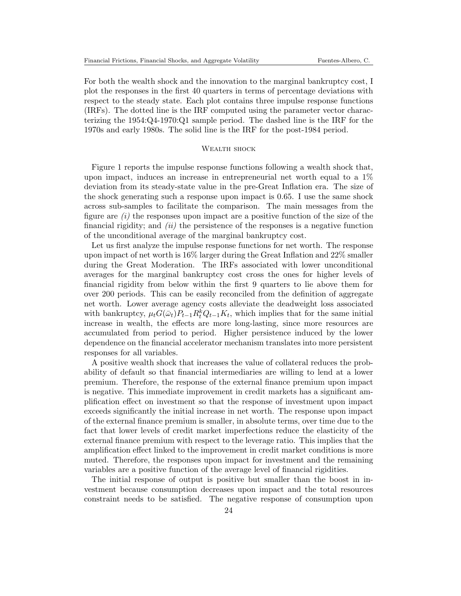For both the wealth shock and the innovation to the marginal bankruptcy cost, I plot the responses in the first 40 quarters in terms of percentage deviations with respect to the steady state. Each plot contains three impulse response functions (IRFs). The dotted line is the IRF computed using the parameter vector characterizing the 1954:Q4-1970:Q1 sample period. The dashed line is the IRF for the 1970s and early 1980s. The solid line is the IRF for the post-1984 period.

## WEALTH SHOCK

Figure 1 reports the impulse response functions following a wealth shock that, upon impact, induces an increase in entrepreneurial net worth equal to a 1% deviation from its steady-state value in the pre-Great Inflation era. The size of the shock generating such a response upon impact is 0.65. I use the same shock across sub-samples to facilitate the comparison. The main messages from the figure are  $(i)$  the responses upon impact are a positive function of the size of the financial rigidity; and  $(ii)$  the persistence of the responses is a negative function of the unconditional average of the marginal bankruptcy cost.

Let us first analyze the impulse response functions for net worth. The response upon impact of net worth is 16% larger during the Great Inflation and 22% smaller during the Great Moderation. The IRFs associated with lower unconditional averages for the marginal bankruptcy cost cross the ones for higher levels of financial rigidity from below within the first 9 quarters to lie above them for over 200 periods. This can be easily reconciled from the definition of aggregate net worth. Lower average agency costs alleviate the deadweight loss associated with bankruptcy,  $\mu_t G(\bar{\omega}_t) P_{t-1} R_t^k Q_{t-1} K_t$ , which implies that for the same initial increase in wealth, the effects are more long-lasting, since more resources are accumulated from period to period. Higher persistence induced by the lower dependence on the financial accelerator mechanism translates into more persistent responses for all variables.

A positive wealth shock that increases the value of collateral reduces the probability of default so that financial intermediaries are willing to lend at a lower premium. Therefore, the response of the external finance premium upon impact is negative. This immediate improvement in credit markets has a significant amplification effect on investment so that the response of investment upon impact exceeds significantly the initial increase in net worth. The response upon impact of the external finance premium is smaller, in absolute terms, over time due to the fact that lower levels of credit market imperfections reduce the elasticity of the external finance premium with respect to the leverage ratio. This implies that the amplification effect linked to the improvement in credit market conditions is more muted. Therefore, the responses upon impact for investment and the remaining variables are a positive function of the average level of financial rigidities.

The initial response of output is positive but smaller than the boost in investment because consumption decreases upon impact and the total resources constraint needs to be satisfied. The negative response of consumption upon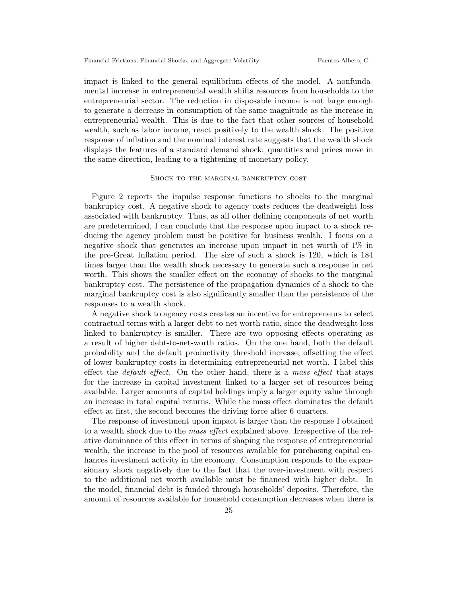impact is linked to the general equilibrium effects of the model. A nonfundamental increase in entrepreneurial wealth shifts resources from households to the entrepreneurial sector. The reduction in disposable income is not large enough to generate a decrease in consumption of the same magnitude as the increase in entrepreneurial wealth. This is due to the fact that other sources of household wealth, such as labor income, react positively to the wealth shock. The positive response of inflation and the nominal interest rate suggests that the wealth shock displays the features of a standard demand shock: quantities and prices move in the same direction, leading to a tightening of monetary policy.

#### SHOCK TO THE MARGINAL BANKRUPTCY COST

Figure 2 reports the impulse response functions to shocks to the marginal bankruptcy cost. A negative shock to agency costs reduces the deadweight loss associated with bankruptcy. Thus, as all other defining components of net worth are predetermined, I can conclude that the response upon impact to a shock reducing the agency problem must be positive for business wealth. I focus on a negative shock that generates an increase upon impact in net worth of 1% in the pre-Great Inflation period. The size of such a shock is 120, which is 184 times larger than the wealth shock necessary to generate such a response in net worth. This shows the smaller effect on the economy of shocks to the marginal bankruptcy cost. The persistence of the propagation dynamics of a shock to the marginal bankruptcy cost is also significantly smaller than the persistence of the responses to a wealth shock.

A negative shock to agency costs creates an incentive for entrepreneurs to select contractual terms with a larger debt-to-net worth ratio, since the deadweight loss linked to bankruptcy is smaller. There are two opposing effects operating as a result of higher debt-to-net-worth ratios. On the one hand, both the default probability and the default productivity threshold increase, offsetting the effect of lower bankruptcy costs in determining entrepreneurial net worth. I label this effect the *default effect*. On the other hand, there is a mass effect that stays for the increase in capital investment linked to a larger set of resources being available. Larger amounts of capital holdings imply a larger equity value through an increase in total capital returns. While the mass effect dominates the default effect at first, the second becomes the driving force after 6 quarters.

The response of investment upon impact is larger than the response I obtained to a wealth shock due to the *mass effect* explained above. Irrespective of the relative dominance of this effect in terms of shaping the response of entrepreneurial wealth, the increase in the pool of resources available for purchasing capital enhances investment activity in the economy. Consumption responds to the expansionary shock negatively due to the fact that the over-investment with respect to the additional net worth available must be financed with higher debt. In the model, financial debt is funded through households' deposits. Therefore, the amount of resources available for household consumption decreases when there is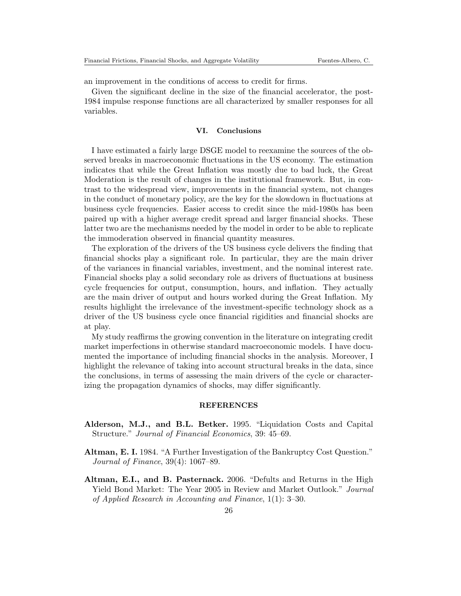an improvement in the conditions of access to credit for firms.

Given the significant decline in the size of the financial accelerator, the post-1984 impulse response functions are all characterized by smaller responses for all variables.

#### VI. Conclusions

I have estimated a fairly large DSGE model to reexamine the sources of the observed breaks in macroeconomic fluctuations in the US economy. The estimation indicates that while the Great Inflation was mostly due to bad luck, the Great Moderation is the result of changes in the institutional framework. But, in contrast to the widespread view, improvements in the financial system, not changes in the conduct of monetary policy, are the key for the slowdown in fluctuations at business cycle frequencies. Easier access to credit since the mid-1980s has been paired up with a higher average credit spread and larger financial shocks. These latter two are the mechanisms needed by the model in order to be able to replicate the immoderation observed in financial quantity measures.

The exploration of the drivers of the US business cycle delivers the finding that financial shocks play a significant role. In particular, they are the main driver of the variances in financial variables, investment, and the nominal interest rate. Financial shocks play a solid secondary role as drivers of fluctuations at business cycle frequencies for output, consumption, hours, and inflation. They actually are the main driver of output and hours worked during the Great Inflation. My results highlight the irrelevance of the investment-specific technology shock as a driver of the US business cycle once financial rigidities and financial shocks are at play.

My study reaffirms the growing convention in the literature on integrating credit market imperfections in otherwise standard macroeconomic models. I have documented the importance of including financial shocks in the analysis. Moreover, I highlight the relevance of taking into account structural breaks in the data, since the conclusions, in terms of assessing the main drivers of the cycle or characterizing the propagation dynamics of shocks, may differ significantly.

## REFERENCES

- Alderson, M.J., and B.L. Betker. 1995. "Liquidation Costs and Capital Structure." Journal of Financial Economics, 39: 45–69.
- Altman, E. I. 1984. "A Further Investigation of the Bankruptcy Cost Question." Journal of Finance, 39(4): 1067–89.
- Altman, E.I., and B. Pasternack. 2006. "Defults and Returns in the High Yield Bond Market: The Year 2005 in Review and Market Outlook." Journal of Applied Research in Accounting and Finance, 1(1): 3–30.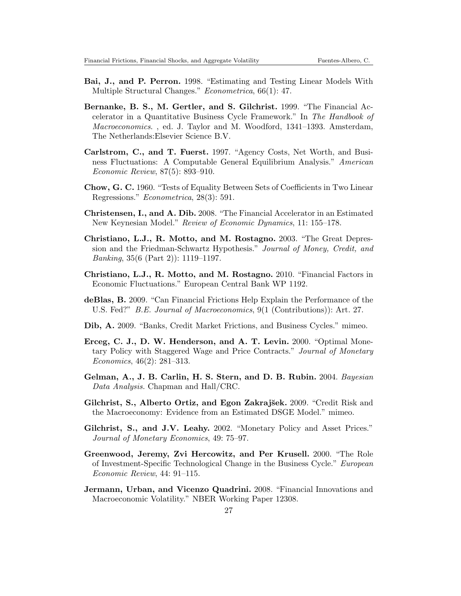- Bai, J., and P. Perron. 1998. "Estimating and Testing Linear Models With Multiple Structural Changes." Econometrica, 66(1): 47.
- Bernanke, B. S., M. Gertler, and S. Gilchrist. 1999. "The Financial Accelerator in a Quantitative Business Cycle Framework." In The Handbook of Macroeconomics. , ed. J. Taylor and M. Woodford, 1341–1393. Amsterdam, The Netherlands:Elsevier Science B.V.
- Carlstrom, C., and T. Fuerst. 1997. "Agency Costs, Net Worth, and Business Fluctuations: A Computable General Equilibrium Analysis." American Economic Review, 87(5): 893–910.
- Chow, G. C. 1960. "Tests of Equality Between Sets of Coefficients in Two Linear Regressions." Econometrica, 28(3): 591.
- Christensen, I., and A. Dib. 2008. "The Financial Accelerator in an Estimated New Keynesian Model." Review of Economic Dynamics, 11: 155–178.
- Christiano, L.J., R. Motto, and M. Rostagno. 2003. "The Great Depression and the Friedman-Schwartz Hypothesis." Journal of Money, Credit, and Banking, 35(6 (Part 2)): 1119–1197.
- Christiano, L.J., R. Motto, and M. Rostagno. 2010. "Financial Factors in Economic Fluctuations." European Central Bank WP 1192.
- deBlas, B. 2009. "Can Financial Frictions Help Explain the Performance of the U.S. Fed?" B.E. Journal of Macroeconomics, 9(1 (Contributions)): Art. 27.
- Dib, A. 2009. "Banks, Credit Market Frictions, and Business Cycles." mimeo.
- Erceg, C. J., D. W. Henderson, and A. T. Levin. 2000. "Optimal Monetary Policy with Staggered Wage and Price Contracts." Journal of Monetary Economics, 46(2): 281–313.
- Gelman, A., J. B. Carlin, H. S. Stern, and D. B. Rubin. 2004. Bayesian Data Analysis. Chapman and Hall/CRC.
- Gilchrist, S., Alberto Ortiz, and Egon Zakrajšek. 2009. "Credit Risk and the Macroeconomy: Evidence from an Estimated DSGE Model." mimeo.
- Gilchrist, S., and J.V. Leahy. 2002. "Monetary Policy and Asset Prices." Journal of Monetary Economics, 49: 75–97.
- Greenwood, Jeremy, Zvi Hercowitz, and Per Krusell. 2000. "The Role of Investment-Specific Technological Change in the Business Cycle." European Economic Review, 44: 91–115.
- Jermann, Urban, and Vicenzo Quadrini. 2008. "Financial Innovations and Macroeconomic Volatility." NBER Working Paper 12308.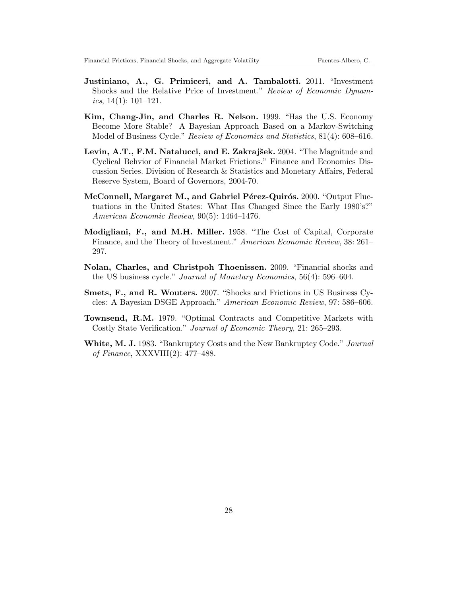- Justiniano, A., G. Primiceri, and A. Tambalotti. 2011. "Investment Shocks and the Relative Price of Investment." Review of Economic Dynam*ics*,  $14(1)$ :  $101-121$ .
- Kim, Chang-Jin, and Charles R. Nelson. 1999. "Has the U.S. Economy Become More Stable? A Bayesian Approach Based on a Markov-Switching Model of Business Cycle." Review of Economics and Statistics, 81(4): 608–616.
- Levin, A.T., F.M. Natalucci, and E. Zakrajšek. 2004. "The Magnitude and Cyclical Behvior of Financial Market Frictions." Finance and Economics Discussion Series. Division of Research & Statistics and Monetary Affairs, Federal Reserve System, Board of Governors, 2004-70.
- McConnell, Margaret M., and Gabriel Pérez-Quirós. 2000. "Output Fluctuations in the United States: What Has Changed Since the Early 1980's?" American Economic Review, 90(5): 1464–1476.
- Modigliani, F., and M.H. Miller. 1958. "The Cost of Capital, Corporate Finance, and the Theory of Investment." American Economic Review, 38: 261– 297.
- Nolan, Charles, and Christpoh Thoenissen. 2009. "Financial shocks and the US business cycle." Journal of Monetary Economics, 56(4): 596–604.
- Smets, F., and R. Wouters. 2007. "Shocks and Frictions in US Business Cycles: A Bayesian DSGE Approach." American Economic Review, 97: 586–606.
- Townsend, R.M. 1979. "Optimal Contracts and Competitive Markets with Costly State Verification." Journal of Economic Theory, 21: 265–293.
- White, M. J. 1983. "Bankruptcy Costs and the New Bankruptcy Code." Journal of Finance, XXXVIII(2): 477–488.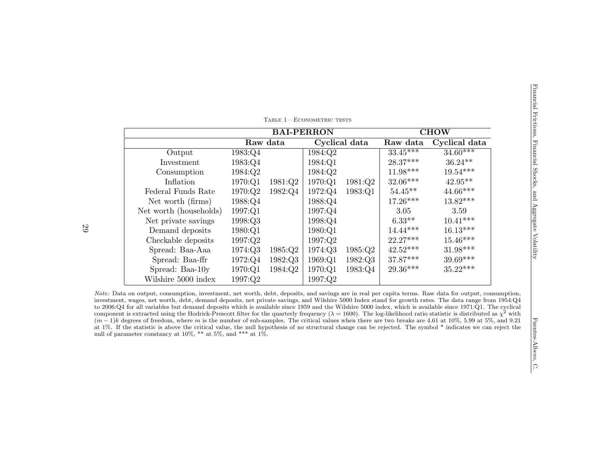|                                                                                                                                                                                                                                                                                                                                                                                                                                                                                                                                                                                                                                                                                                                                                                                                                                                                                                                                                                                       | <b>CHOW</b><br><b>BAI-PERRON</b> |         |               |                                                                            |               |
|---------------------------------------------------------------------------------------------------------------------------------------------------------------------------------------------------------------------------------------------------------------------------------------------------------------------------------------------------------------------------------------------------------------------------------------------------------------------------------------------------------------------------------------------------------------------------------------------------------------------------------------------------------------------------------------------------------------------------------------------------------------------------------------------------------------------------------------------------------------------------------------------------------------------------------------------------------------------------------------|----------------------------------|---------|---------------|----------------------------------------------------------------------------|---------------|
|                                                                                                                                                                                                                                                                                                                                                                                                                                                                                                                                                                                                                                                                                                                                                                                                                                                                                                                                                                                       | Raw data                         |         | Cyclical data | Raw data                                                                   | Cyclical data |
| 1983:Q4<br>Output                                                                                                                                                                                                                                                                                                                                                                                                                                                                                                                                                                                                                                                                                                                                                                                                                                                                                                                                                                     |                                  | 1984:Q2 |               | $33.45***$                                                                 | $34.60***$    |
| 1983:Q4<br>Investment                                                                                                                                                                                                                                                                                                                                                                                                                                                                                                                                                                                                                                                                                                                                                                                                                                                                                                                                                                 |                                  | 1984:Q1 |               | $28.37***$                                                                 | $36.24**$     |
| 1984:Q2<br>Consumption                                                                                                                                                                                                                                                                                                                                                                                                                                                                                                                                                                                                                                                                                                                                                                                                                                                                                                                                                                |                                  | 1984:Q2 |               | $11.98***$                                                                 | $19.54***$    |
| Inflation<br>1970:Q1                                                                                                                                                                                                                                                                                                                                                                                                                                                                                                                                                                                                                                                                                                                                                                                                                                                                                                                                                                  | 1981:Q2                          | 1970:Q1 | 1981:Q2       | $32.06***$                                                                 | $42.95**$     |
| Federal Funds Rate<br>1970:Q2                                                                                                                                                                                                                                                                                                                                                                                                                                                                                                                                                                                                                                                                                                                                                                                                                                                                                                                                                         | 1982:Q4                          | 1972:Q4 | 1983:Q1       | $54.45**$                                                                  | $44.66***$    |
| Net worth (firms)<br>1988:Q4                                                                                                                                                                                                                                                                                                                                                                                                                                                                                                                                                                                                                                                                                                                                                                                                                                                                                                                                                          |                                  | 1988:Q4 |               | $17.26***$                                                                 | $13.82***$    |
| Net worth (households)<br>1997:Q1                                                                                                                                                                                                                                                                                                                                                                                                                                                                                                                                                                                                                                                                                                                                                                                                                                                                                                                                                     |                                  | 1997:Q4 |               | 3.05                                                                       | 3.59          |
| 1998:Q3<br>Net private savings                                                                                                                                                                                                                                                                                                                                                                                                                                                                                                                                                                                                                                                                                                                                                                                                                                                                                                                                                        |                                  | 1998:Q4 |               |                                                                            | $10.41***$    |
| Demand deposits<br>1980:Q1                                                                                                                                                                                                                                                                                                                                                                                                                                                                                                                                                                                                                                                                                                                                                                                                                                                                                                                                                            |                                  | 1980:Q1 |               |                                                                            | $16.13***$    |
| Checkable deposits<br>1997:Q2                                                                                                                                                                                                                                                                                                                                                                                                                                                                                                                                                                                                                                                                                                                                                                                                                                                                                                                                                         |                                  | 1997:Q2 |               |                                                                            | $15.46***$    |
| Spread: Baa-Aaa<br>1974:Q3                                                                                                                                                                                                                                                                                                                                                                                                                                                                                                                                                                                                                                                                                                                                                                                                                                                                                                                                                            | 1985:Q2                          | 1974:Q3 | 1985:Q2       |                                                                            | $31.98***$    |
| Spread: Baa-ffr<br>1972:Q4                                                                                                                                                                                                                                                                                                                                                                                                                                                                                                                                                                                                                                                                                                                                                                                                                                                                                                                                                            | 1982:Q3                          | 1969:Q1 | 1982:Q3       |                                                                            | $39.69***$    |
| Spread: Baa-10y<br>1970:Q1                                                                                                                                                                                                                                                                                                                                                                                                                                                                                                                                                                                                                                                                                                                                                                                                                                                                                                                                                            | 1984:Q2                          | 1970:Q1 | 1983:Q4       |                                                                            | $35.22***$    |
| Wilshire 5000 index<br>1997:Q2                                                                                                                                                                                                                                                                                                                                                                                                                                                                                                                                                                                                                                                                                                                                                                                                                                                                                                                                                        |                                  | 1997:Q2 |               |                                                                            |               |
| Note: Data on output, consumption, investment, net worth, debt, deposits, and savings are in real per capita terms. Raw data for output, consumption,<br>investment, wages, net worth, debt, demand deposits, net private savings, and Wilshire 5000 Index stand for growth rates. The data range from 1954:Q4<br>to 2006:Q4 for all variables but demand deposits which is available since 1959 and the Wilshire 5000 index, which is available since 1971:Q1. The cyclical<br>component is extracted using the Hodrick-Prescott filter for the quarterly frequency ( $\lambda = 1600$ ). The log-likelihood ratio statistic is distributed as $\chi^2$ with<br>$(m-1)k$ degrees of freedom, where m is the number of sub-samples. The critical values when there are two breaks are 4.61 at 10%, 5.99 at 5%, and 9.21<br>at 1%. If the statistic is above the critical value, the null hypothesis of no structural change can be rejected. The symbol * indicates we can reject the |                                  |         |               | $6.33**$<br>$14.44***$<br>22.27***<br>$42.52***$<br>37.87***<br>$29.36***$ |               |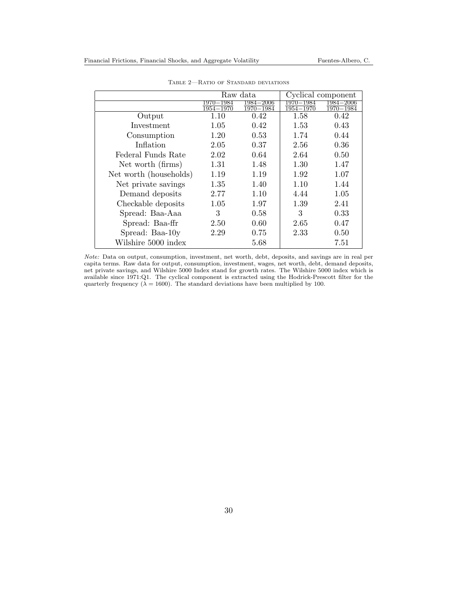|                        |                                 | Raw data               | Cyclical component |                        |  |
|------------------------|---------------------------------|------------------------|--------------------|------------------------|--|
|                        | $-1984\,$<br>1970.<br>1954-1970 | 1984–2006<br>1970-1984 | 1984<br>1954-1970  | 1984—2006<br>1970-1984 |  |
| Output                 | 1.10                            | 0.42                   | 1.58               | 0.42                   |  |
| Investment             | 1.05                            | 0.42                   | 1.53               | 0.43                   |  |
| Consumption            | 1.20                            | 0.53                   | 1.74               | 0.44                   |  |
| Inflation              | 2.05                            | 0.37                   | 2.56               | 0.36                   |  |
| Federal Funds Rate     | 2.02                            | 0.64                   | 2.64               | 0.50                   |  |
| Net worth (firms)      | 1.31                            | 1.48                   | 1.30               | 1.47                   |  |
| Net worth (households) | 1.19                            | 1.19                   | 1.92               | 1.07                   |  |
| Net private savings    | 1.35                            | 1.40                   | 1.10               | 1.44                   |  |
| Demand deposits        | 2.77                            | 1.10                   | 4.44               | 1.05                   |  |
| Checkable deposits     | 1.05                            | 1.97                   | 1.39               | 2.41                   |  |
| Spread: Baa-Aaa        | 3                               | 0.58                   | 3                  | 0.33                   |  |
| Spread: Baa-ffr        | 2.50                            | 0.60                   | 2.65               | 0.47                   |  |
| Spread: Baa-10y        | 2.29                            | 0.75                   | 2.33               | 0.50                   |  |
| Wilshire 5000 index    |                                 | 5.68                   |                    | 7.51                   |  |

Table 2—Ratio of Standard deviations

Note: Data on output, consumption, investment, net worth, debt, deposits, and savings are in real per capita terms. Raw data for output, consumption, investment, wages, net worth, debt, demand deposits, net private savings, and Wilshire 5000 Index stand for growth rates. The Wilshire 5000 index which is available since 1971:Q1. The cyclical component is extracted using the Hodrick-Prescott filter for the quarterly frequency ( $\lambda = 1600$ ). The standard deviations have been multiplied by 100.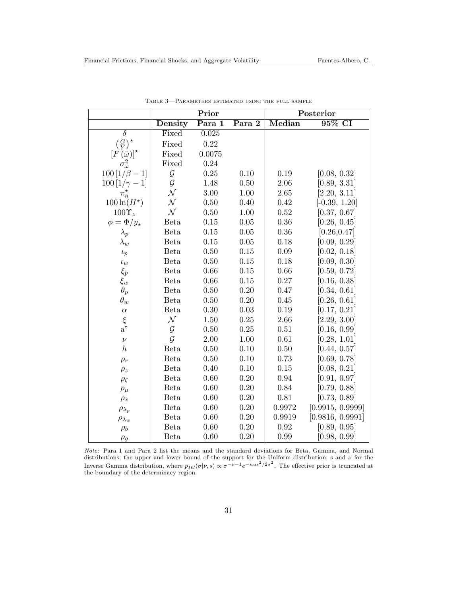|                                    |              | Prior  |                     | Posterior |                  |  |
|------------------------------------|--------------|--------|---------------------|-----------|------------------|--|
|                                    | Density      | Para 1 | Para $\overline{2}$ | Median    | 95% CI           |  |
| $\overline{\delta}$                | Fixed        | 0.025  |                     |           |                  |  |
| $\left(\frac{G}{Y}\right)^{\star}$ | Fixed        | 0.22   |                     |           |                  |  |
| $[F(\bar{\omega})]^{*}$            | Fixed        | 0.0075 |                     |           |                  |  |
| $\sigma_{\omega}^2$                | Fixed        | 0.24   |                     |           |                  |  |
| $100[1/\beta - 1]$                 | $\cal G$     | 0.25   | 0.10                | 0.19      | [0.08, 0.32]     |  |
| $100\,[1/\gamma - 1]$              | $\mathcal G$ | 1.48   | 0.50                | 2.06      | [0.89, 3.31]     |  |
| $\pi_n^{\star}$                    | ${\cal N}$   | 3.00   | 1.00                | $2.65\,$  | [2.20, 3.11]     |  |
| $100\ln(H^{\star})$                | $\mathcal N$ | 0.50   | 0.40                | 0.42      | $[-0.39, 1.20]$  |  |
| $100 \Upsilon_z$                   | $\mathcal N$ | 0.50   | $1.00\,$            | 0.52      | [0.37, 0.67]     |  |
| $\phi = \Phi / y_{\star}$          | <b>Beta</b>  | 0.15   | 0.05                | 0.36      | [0.26, 0.45]     |  |
| $\lambda_p$                        | <b>Beta</b>  | 0.15   | $0.05\,$            | $0.36\,$  | [0.26, 0.47]     |  |
| $\lambda_w$                        | <b>Beta</b>  | 0.15   | 0.05                | 0.18      | [0.09, 0.29]     |  |
| $\iota_p$                          | Beta         | 0.50   | 0.15                | $0.09\,$  | [0.02, 0.18]     |  |
| $\iota_w$                          | <b>Beta</b>  | 0.50   | $0.15\,$            | 0.18      | [0.09, 0.30]     |  |
| $\xi_p$                            | <b>Beta</b>  | 0.66   | 0.15                | 0.66      | [0.59, 0.72]     |  |
| $\xi_w$                            | <b>Beta</b>  | 0.66   | $0.15\,$            | 0.27      | [0.16, 0.38]     |  |
| $\theta_p$                         | Beta         | 0.50   | 0.20                | 0.47      | [0.34, 0.61]     |  |
| $\theta_w$                         | <b>Beta</b>  | 0.50   | 0.20                | $0.45\,$  | [0.26, 0.61]     |  |
| $\alpha$                           | <b>Beta</b>  | 0.30   | $0.03\,$            | 0.19      | [0.17, 0.21]     |  |
| $\xi$                              | ${\cal N}$   | 1.50   | 0.25                | 2.66      | [2.29, 3.00]     |  |
| $a$ "                              | $\mathcal G$ | 0.50   | 0.25                | 0.51      | [0.16, 0.99]     |  |
| $\nu$                              | $\mathcal G$ | 2.00   | $1.00\,$            | $0.61\,$  | [0.28, 1.01]     |  |
| $\boldsymbol{h}$                   | <b>Beta</b>  | 0.50   | 0.10                | 0.50      | [0.44, 0.57]     |  |
| $\rho_r$                           | <b>Beta</b>  | 0.50   | 0.10                | 0.73      | [0.69, 0.78]     |  |
| $\rho_z$                           | <b>Beta</b>  | 0.40   | 0.10                | 0.15      | [0.08, 0.21]     |  |
| $\rho_{\zeta}$                     | <b>Beta</b>  | 0.60   | 0.20                | 0.94      | [0.91, 0.97]     |  |
| $\rho_\mu$                         | <b>Beta</b>  | 0.60   | 0.20                | 0.84      | [0.79, 0.88]     |  |
| $\rho_x$                           | <b>Beta</b>  | 0.60   | $0.20\,$            | $0.81\,$  | [0.73, 0.89]     |  |
| $\rho_{\lambda_p}$                 | <b>Beta</b>  | 0.60   | 0.20                | 0.9972    | [0.9915, 0.9999] |  |
| $\rho_{\lambda_w}$                 | <b>Beta</b>  | 0.60   | 0.20                | 0.9919    | [0.9816, 0.9991] |  |
| $\rho_b$                           | <b>Beta</b>  | 0.60   | 0.20                | 0.92      | [0.89, 0.95]     |  |
| $\rho_g$                           | Beta         | 0.60   | 0.20                | 0.99      | [0.98, 0.99]     |  |

Table 3—Parameters estimated using the full sample

Note: Para 1 and Para 2 list the means and the standard deviations for Beta, Gamma, and Normal distributions; the upper and lower bound of the support for the Uniform distribution; s and  $\nu$  for the Inverse Gamma distribution, where  $p_{IG}(\sigma|\nu, s) \propto \sigma^{-\nu-1} e^{-nus^2/2\sigma^2}$ . The effective prior is truncated at the boundary of the determinacy region.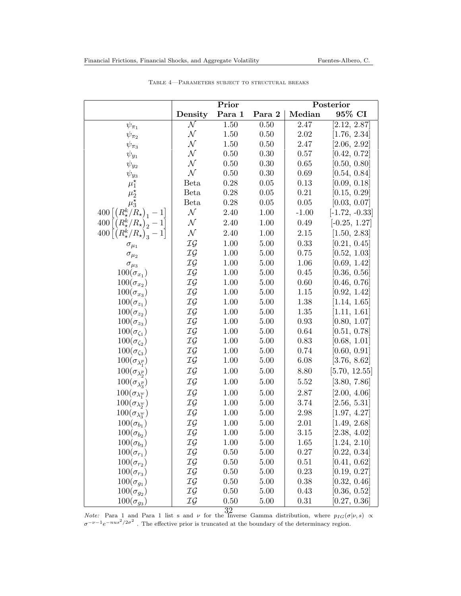|                                                                                      |                          | Prior    | Posterior |            |                  |
|--------------------------------------------------------------------------------------|--------------------------|----------|-----------|------------|------------------|
|                                                                                      | Density                  | Para 1   | Para 2    | Median     | 95% CI           |
| $\psi_{\pi_1}$                                                                       | $\overline{\mathcal{N}}$ | 1.50     | 0.50      | 2.47       | [2.12, 2.87]     |
| $\psi_{\pi_2}$                                                                       | ${\cal N}$               | 1.50     | $0.50\,$  | $2.02\,$   | [1.76, 2.34]     |
| $\psi_{\pi_3}$                                                                       | ${\cal N}$               | 1.50     | 0.50      | 2.47       | [2.06, 2.92]     |
| $\psi_{y_1}$                                                                         | ${\cal N}$               | 0.50     | 0.30      | $0.57\,$   | [0.42, 0.72]     |
| $\psi_{y_2}$                                                                         | ${\cal N}$               | 0.50     | 0.30      | 0.65       | [0.50, 0.80]     |
|                                                                                      | ${\cal N}$               | 0.50     | $0.30\,$  | 0.69       | [0.54, 0.84]     |
|                                                                                      | Beta                     | 0.28     | 0.05      | 0.13       | [0.09, 0.18]     |
|                                                                                      | Beta                     | $0.28\,$ | $0.05\,$  | 0.21       | [0.15, 0.29]     |
| $\psi_{y_3}$<br>$\mu_1^*$<br>$\mu_2^*$<br>$\mu_3^*$                                  | Beta                     | 0.28     | $0.05\,$  | 0.05       | [0.03, 0.07]     |
| $400\left[\left(R_\star^{\boldsymbol{k}}/\overset{\cdot}{R}_\star\right)_1-1\right]$ | ${\cal N}$               | 2.40     | 1.00      | $-1.00$    | $[-1.72, -0.33]$ |
| $400\left[\left(R_{\star}^{k}/R_{\star}\right)_{2}-1\right]$                         | ${\cal N}$               | 2.40     | $1.00\,$  | 0.49       | $[-0.25, 1.27]$  |
| $400 [(R_{\star}^{k}/R_{\star})_{3} - 1]$                                            | ${\cal N}$               | 2.40     | $1.00\,$  | $2.15\,$   | [1.50, 2.83]     |
| $\sigma_{\mu_1}$                                                                     | $\mathcal{IG}$           | 1.00     | $5.00\,$  | $0.33\,$   | [0.21, 0.45]     |
| $\sigma_{\mu_2}$                                                                     | $\mathcal{IG}$           | 1.00     | 5.00      | 0.75       | [0.52, 1.03]     |
| $\sigma_{\mu_3}$                                                                     | $\mathcal{IG}$           | 1.00     | $5.00\,$  | 1.06       | [0.69, 1.42]     |
| $100(\sigma_{x_1})$                                                                  | $\mathcal{IG}$           | 1.00     | $5.00\,$  | 0.45       | [0.36, 0.56]     |
| $100(\sigma_{x2})$                                                                   | $\mathcal{IG}$           | 1.00     | $5.00\,$  | $0.60\,$   | [0.46, 0.76]     |
| $100(\sigma_{x_3})$                                                                  | IG                       | 1.00     | $5.00\,$  | 1.15       | [0.92, 1.42]     |
| $100(\sigma_{z_1})$                                                                  | IG                       | 1.00     | $5.00\,$  | 1.38       | [1.14, 1.65]     |
| $100(\sigma_{z_2})$                                                                  | $\mathcal{IG}$           | 1.00     | 5.00      | 1.35       | [1.11, 1.61]     |
| $100(\sigma_{z_3})$                                                                  | ${\mathcal{IG}}$         | 1.00     | $5.00\,$  | $\rm 0.93$ | [0.80, 1.07]     |
| $100(\sigma_{\zeta_1})$                                                              | $\mathcal{IG}$           | 1.00     | $5.00\,$  | 0.64       | [0.51, 0.78]     |
| $100(\sigma_{\zeta_2})$                                                              | ${\mathcal{IG}}$         | 1.00     | $5.00\,$  | $0.83\,$   | [0.68, 1.01]     |
| $100(\sigma_{\zeta_3})$                                                              | ${\mathcal{IG}}$         | 1.00     | $5.00\,$  | 0.74       | [0.60, 0.91]     |
| $100(\sigma_{\lambda_1^p})$                                                          | $\mathcal{IG}$           | 1.00     | $5.00\,$  | 6.08       | [3.76, 8.62]     |
| $100(\sigma_{\lambda_2^p})$                                                          | $\mathcal{IG}$           | 1.00     | $5.00\,$  | 8.80       | [5.70, 12.55]    |
| $100(\sigma_{\lambda_3^p})$                                                          | IG                       | 1.00     | $5.00\,$  | 5.52       | [3.80, 7.86]     |
| $100(\sigma_{\lambda_1^w})$                                                          | IG                       | 1.00     | 5.00      | $2.87\,$   | [2.00, 4.06]     |
| $100(\sigma_{\lambda_2^w})$                                                          | $\mathcal{IG}$           | 1.00     | $5.00\,$  | 3.74       | [2.56, 5.31]     |
| $100(\sigma_{\lambda_3^w})$                                                          | $\mathcal{IG}$           | 1.00     | $5.00\,$  | $2.98\,$   | [1.97, 4.27]     |
| $100(\sigma_{b_1})$                                                                  | $\mathcal{IG}$           | 1.00     | 5.00      | $2.01\,$   | [1.49, 2.68]     |
| $100(\sigma_{b_2})$                                                                  | IG                       | 1.00     | 5.00      | 3.15       | [2.38, 4.02]     |
| $100(\sigma_{b_3})$                                                                  | IG                       | 1.00     | 5.00      | 1.65       | [1.24, 2.10]     |
| $100(\sigma_{r_1})$                                                                  | IG                       | 0.50     | $5.00\,$  | $0.27\,$   | [0.22, 0.34]     |
| $100(\sigma_{r_2})$                                                                  | $\mathcal{IG}$           | 0.50     | 5.00      | 0.51       | [0.41, 0.62]     |
| $100(\sigma_{r_3})$                                                                  | $\mathcal{IG}$           | 0.50     | 5.00      | 0.23       | [0.19, 0.27]     |
| $100(\sigma_{g_1})$                                                                  | IG                       | 0.50     | $5.00\,$  | 0.38       | [0.32, 0.46]     |
| $100(\sigma_{g_2})$                                                                  | IG                       | 0.50     | 5.00      | 0.43       | [0.36, 0.52]     |
| $100(\sigma_{g_3})$                                                                  | IG                       | 0.50     | $5.00\,$  | 0.31       | [0.27, 0.36]     |

Table 4—Parameters subject to structural breaks

*Note:* Para 1 and Para 1 list s and  $\nu$  for the Inverse Gamma distribution, where  $p_{IG}(\sigma|\nu, s) \propto$  $\sigma^{-\nu-1}e^{-nus^2/2\sigma^2}$ . The effective prior is truncated at the boundary of the determinacy region. 32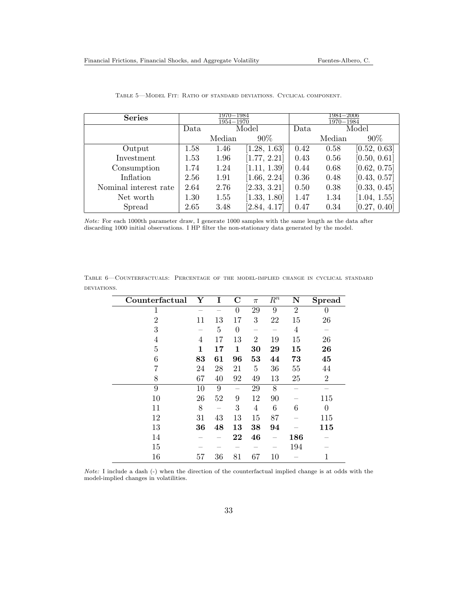| <b>Series</b>         |      | 1970–1984<br>1954-1970 |              | 1984–2006<br>1970-1984 |        |              |  |
|-----------------------|------|------------------------|--------------|------------------------|--------|--------------|--|
|                       | Data | Model                  |              | Data                   |        | Model        |  |
|                       |      | Median                 | $90\%$       |                        | Median | $90\%$       |  |
| Output                | 1.58 | 1.46                   | [1.28, 1.63] | 0.42                   | 0.58   | [0.52, 0.63] |  |
| Investment            | 1.53 | 1.96                   | [1.77, 2.21] | 0.43                   | 0.56   | [0.50, 0.61] |  |
| Consumption           | 1.74 | 1.24                   | [1.11, 1.39] | 0.44                   | 0.68   | [0.62, 0.75] |  |
| Inflation             | 2.56 | 1.91                   | [1.66, 2.24] | 0.36                   | 0.48   | [0.43, 0.57] |  |
| Nominal interest rate | 2.64 | 2.76                   | [2.33, 3.21] | 0.50                   | 0.38   | [0.33, 0.45] |  |
| Net worth             | 1.30 | 1.55                   | [1.33, 1.80] | 1.47                   | 1.34   | [1.04, 1.55] |  |
| Spread                | 2.65 | 3.48                   | [2.84, 4.17] | 0.47                   | 0.34   | [0.27, 0.40] |  |

Table 5—Model Fit: Ratio of standard deviations. Cyclical component.

Note: For each 1000th parameter draw, I generate 1000 samples with the same length as the data after discarding 1000 initial observations. I HP filter the non-stationary data generated by the model.

| Counterfactual | $\overline{\mathbf{Y}}$ | Ι  | $\mathbf C$    | $\pi$          | $\overline{R^n}$ | $\overline{\mathbf{N}}$ | <b>Spread</b>  |
|----------------|-------------------------|----|----------------|----------------|------------------|-------------------------|----------------|
| 1              |                         |    | $\theta$       | 29             | 9                | $\overline{2}$          | 0              |
| $\overline{2}$ | 11                      | 13 | 17             | 3              | 22               | 15                      | 26             |
| 3              |                         | 5  | $\overline{0}$ |                |                  | 4                       |                |
| 4              | 4                       | 17 | 13             | $\overline{2}$ | 19               | 15                      | 26             |
| 5              | 1                       | 17 | 1              | 30             | 29               | 15                      | 26             |
| 6              | 83                      | 61 | 96             | 53             | 44               | 73                      | 45             |
| 7              | 24                      | 28 | 21             | $\overline{5}$ | 36               | 55                      | 44             |
| 8              | 67                      | 40 | 92             | 49             | 13               | 25                      | 2              |
| $\overline{9}$ | 10                      | 9  |                | 29             | 8                |                         |                |
| 10             | 26                      | 52 | 9              | 12             | 90               |                         | 115            |
| 11             | 8                       |    | 3              | 4              | 6                | 6                       | $\overline{0}$ |
| 12             | 31                      | 43 | 13             | 15             | 87               |                         | 115            |
| 13             | 36                      | 48 | 13             | 38             | 94               |                         | 115            |
| 14             |                         |    | 22             | 46             |                  | 186                     |                |
| 15             |                         |    |                |                |                  | 194                     |                |
| 16             | 57                      | 36 | 81             | 67             | 10               |                         | 1              |

Table 6—Counterfactuals: Percentage of the model-implied change in cyclical standard deviations.

Note: I include a dash (-) when the direction of the counterfactual implied change is at odds with the model-implied changes in volatilities.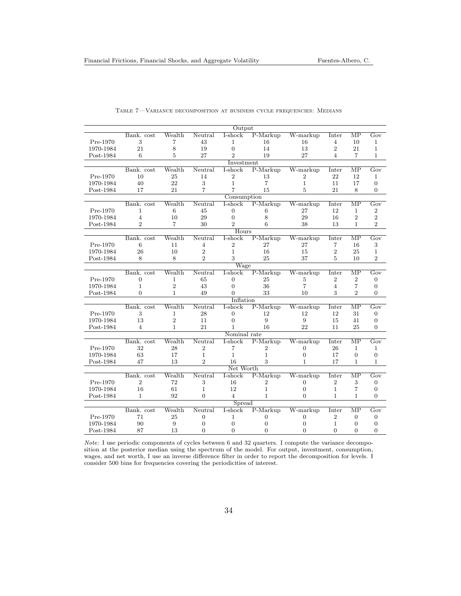|           |                |                           |                  | Output         |                |                |                |                        |                           |  |
|-----------|----------------|---------------------------|------------------|----------------|----------------|----------------|----------------|------------------------|---------------------------|--|
|           | Bank. cost     | Wealth                    | Neutral          | I-shock        | P-Markup       | W-markup       | Inter          | $\overline{MP}$        | Gov                       |  |
| Pre-1970  | 3              | 7                         | 43               | 1              | 16             | 16             | $\overline{4}$ | 10                     | $\mathbf{1}$              |  |
| 1970-1984 | 21             | 8                         | 19               | $\overline{0}$ | 14             | 13             | $\overline{2}$ | 21                     | $\mathbf{1}$              |  |
| Post-1984 | 6              | 5.                        | 27               | $\overline{2}$ | 19             | 27             | 4              | 7                      | $\mathbf{1}$              |  |
|           |                |                           |                  | Investment     |                |                |                |                        |                           |  |
|           | Bank. cost     | Wealth                    | Neutral          | I-shock        | P-Markup       | W-markup       | Inter          | $\overline{\text{MP}}$ | Gov                       |  |
| Pre-1970  | 10             | 25                        | 14               | 2              | 13             | $\overline{2}$ | 22             | 12                     | $\mathbf{1}$              |  |
| 1970-1984 | 40             | 22                        | 3                | $\mathbf{1}$   | $\overline{7}$ | $\mathbf{1}$   | 11             | 17                     | $\boldsymbol{0}$          |  |
| Post-1984 | 17             | 21                        | 7                | 7              | 15             | 5              | 21             | 8                      | $\Omega$                  |  |
|           | Consumption    |                           |                  |                |                |                |                |                        |                           |  |
|           | Bank. cost     | Wealth                    | Neutral          | I-shock        | P-Markup       | W-markup       | Inter          | $\overline{\text{MP}}$ | Gov                       |  |
| Pre-1970  | 1              | 6                         | 45               | 0              | 6              | 27             | 12             | $\mathbf{1}$           | $\boldsymbol{2}$          |  |
| 1970-1984 | $\overline{4}$ | 10                        | 29               | $\overline{0}$ | 8              | 29             | 16             | $\overline{2}$         | $\overline{2}$            |  |
| Post-1984 | $\overline{2}$ | 7                         | 30               | $\mathfrak{D}$ | 6              | 38             | 13             | $\mathbf{1}$           | $\overline{2}$            |  |
|           |                |                           |                  | Hours          |                |                |                |                        |                           |  |
|           | Bank. cost     | Wealth                    | Neutral          | I-shock        | P-Markup       | W-markup       | Inter          | MР                     | Gov                       |  |
| Pre-1970  | 6              | 11                        | $\overline{4}$   | $\overline{2}$ | 27             | 27             | 7              | 16                     | $\,3$                     |  |
| 1970-1984 | 26             | 10                        | $\overline{2}$   | $\mathbf{1}$   | 16             | 15             | $\overline{2}$ | 25                     | $\mathbf{1}$              |  |
| Post-1984 | 8              | 8                         | $\overline{2}$   | 3              | 25             | 37             | 5              | 10                     | $\overline{2}$            |  |
|           |                |                           |                  | Wage           |                |                |                |                        |                           |  |
|           | Bank. cost     | Wealth                    | Neutral          | I-shock        | P-Markup       | W-markup       | Inter          | $\overline{\text{MP}}$ | $\overline{\mathrm{Gov}}$ |  |
| Pre-1970  | 0              | 1                         | 65               | 0              | 25             | 5              | 2              | $\overline{2}$         | $\boldsymbol{0}$          |  |
| 1970-1984 | $\mathbf{1}$   | $\overline{2}$            | 43               | $\overline{0}$ | 36             | $\overline{7}$ | $\overline{4}$ | $\overline{7}$         | $\overline{0}$            |  |
| Post-1984 | 0              | $\mathbf{1}$              | 49               | 0              | 33             | 10             | 3              | $\overline{2}$         | $\Omega$                  |  |
| Inflation |                |                           |                  |                |                |                |                |                        |                           |  |
|           | Bank. cost     | $\overline{\text{Weakh}}$ | Neutral          | I-shock        | $P-Markup$     | W-markup       | Inter          | $\overline{\text{MP}}$ | Gov                       |  |
| Pre-1970  | 3              | $\mathbf 1$               | 28               | $\overline{0}$ | 12             | 12             | 12             | 31                     | $\boldsymbol{0}$          |  |
| 1970-1984 | 13             | $\overline{2}$            | 11               | $\Omega$       | 9              | 9              | 15             | 41                     | $\overline{0}$            |  |
| Post-1984 | 4              | $\mathbf{1}$              | 21               | 1.             | 16             | 22             | 11             | 25                     | $\overline{0}$            |  |
|           |                |                           |                  | Nominal rate   |                |                |                |                        |                           |  |
|           | Bank. cost     | Wealth                    | Neutral          | I-shock        | P-Markup       | W-markup       | Inter          | $\overline{\text{MP}}$ | Gov                       |  |
| Pre-1970  | 32             | 28                        | $\overline{2}$   | 7              | $\overline{2}$ | 0              | 26             | $\mathbf{1}$           | $\mathbf{1}$              |  |
| 1970-1984 | 63             | 17                        | $\mathbf{1}$     | $\mathbf{1}$   | $\mathbf{1}$   | $\Omega$       | 17             | $\overline{0}$         | $\boldsymbol{0}$          |  |
| Post-1984 | 47             | 13                        | $\overline{2}$   | 16             | 3              | $\mathbf{1}$   | 17             | $\mathbf{1}$           | $\mathbf{1}$              |  |
|           |                |                           |                  | Net Worth      |                |                |                |                        |                           |  |
|           | Bank. cost     | Wealth                    | Neutral          | I-shock        | $P-Markup$     | W-markup       | Inter          | $\overline{\text{MP}}$ | Gov                       |  |
| Pre-1970  | $\overline{2}$ | 72                        | 3                | 16             | $\overline{2}$ | 0              | $\overline{2}$ | 3                      | $\boldsymbol{0}$          |  |
| 1970-1984 | 16             | 61                        | $\mathbf{1}$     | 12             | 1              | $\overline{0}$ | $\mathbf{1}$   | $\overline{7}$         | $\boldsymbol{0}$          |  |
| Post-1984 | $\mathbf{1}$   | 92                        | $\Omega$         | $\overline{4}$ | 1              | $\Omega$       | 1              | $\mathbf{1}$           | $\Omega$                  |  |
|           |                |                           |                  | Spread         |                |                |                |                        |                           |  |
|           | Bank. cost     | Wealth                    | Neutral          | I-shock        | P-Markup       | W-markup       | Inter          | $\overline{\text{MP}}$ | $\overline{\mathrm{Gov}}$ |  |
| Pre-1970  | 71             | 25                        | $\boldsymbol{0}$ | 1              | $\mathbf{0}$   | 0              | $\overline{2}$ | $\overline{0}$         | $\boldsymbol{0}$          |  |
| 1970-1984 | 90             | 9                         | $\overline{0}$   | 0              | $\overline{0}$ | $\overline{0}$ | $\mathbf{1}$   | $\Omega$               | $\theta$                  |  |
| Post-1984 | 87             | 13                        | $\Omega$         | $\Omega$       | $\Omega$       | $\Omega$       | $\Omega$       | $\Omega$               | $\overline{0}$            |  |
|           |                |                           |                  |                |                |                |                |                        |                           |  |

#### Table 7—Variance decomposition at business cycle frequencies: Medians

Note: I use periodic components of cycles between 6 and 32 quarters. I compute the variance decomposition at the posterior median using the spectrum of the model. For output, investment, consumption, wages, and net worth, I use an inverse difference filter in order to report the decomposition for levels. I consider 500 bins for frequencies covering the periodicities of interest.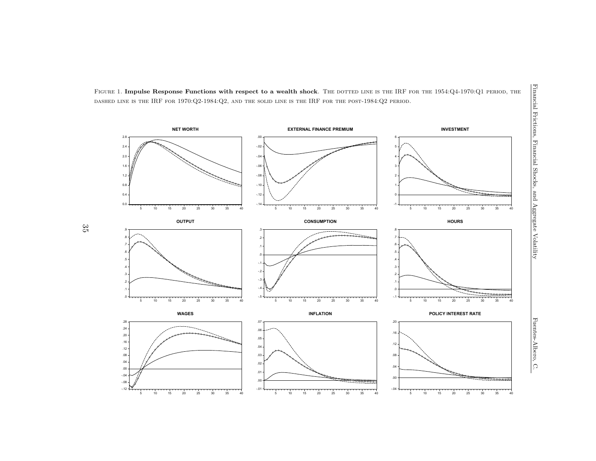

35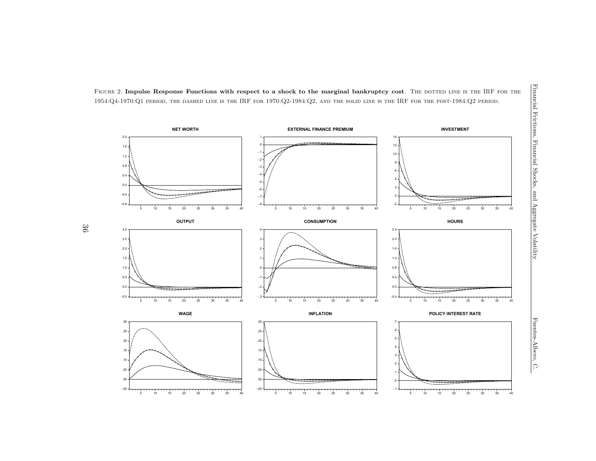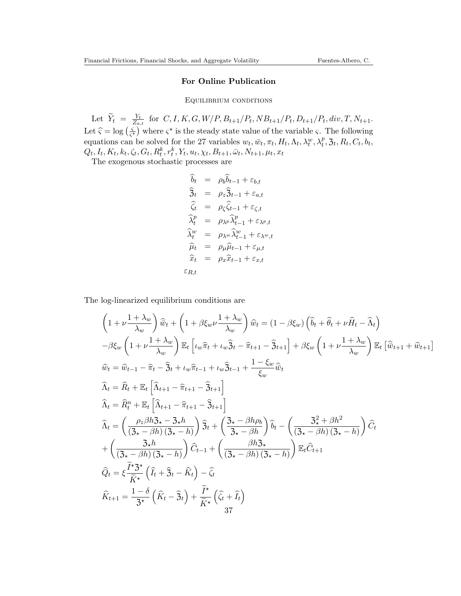## For Online Publication

Equilibrium conditions

Let  $\widetilde{Y}_t = \frac{Y_t}{Z_a}$  $\frac{Y_t}{Z_{a,t}}$  for  $C, I, K, G, W/P, B_{t+1}/P_t, NB_{t+1}/P_t, D_{t+1}/P_t, div, T, N_{t+1}.$ Let  $\hat{\varsigma} = \log \left( \frac{\varsigma}{\varsigma} \right)$  $\left(\frac{\varsigma}{\varsigma^*}\right)$  where  $\varsigma^*$  is the steady state value of the variable  $\varsigma$ . The following equations can be solved for the 27 variables  $w_t$ ,  $\bar{w}_t$ ,  $\pi_t$ ,  $H_t$ ,  $\Lambda_t$ ,  $\lambda_t^w$ ,  $\lambda_t^p$ ,  $\Im_t$ ,  $R_t$ ,  $C_t$ ,  $b_t$ ,  $Q_t, I_t, K_t, k_t, \zeta_t, G_t, R_t^k, r_t^k, Y_t, u_t, \chi_t, B_{t+1}, \bar{\omega}_t, N_{t+1}, \mu_t, x_t$ 

The exogenous stochastic processes are

$$
\hat{b}_t = \rho_b \hat{b}_{t-1} + \varepsilon_{b,t}
$$
\n
$$
\hat{3}_t = \rho_z \hat{3}_{t-1} + \varepsilon_{a,t}
$$
\n
$$
\hat{\zeta}_t = \rho_\zeta \hat{\zeta}_{t-1} + \varepsilon_{\zeta,t}
$$
\n
$$
\hat{\lambda}_t^p = \rho_{\lambda^p} \hat{\lambda}_{t-1}^p + \varepsilon_{\lambda^p,t}
$$
\n
$$
\hat{\lambda}_t^w = \rho_{\lambda^w} \hat{\lambda}_{t-1}^w + \varepsilon_{\lambda^w,t}
$$
\n
$$
\hat{\mu}_t = \rho_\mu \hat{\mu}_{t-1} + \varepsilon_{\mu,t}
$$
\n
$$
\hat{x}_t = \rho_x \hat{x}_{t-1} + \varepsilon_{x,t}
$$
\n
$$
\varepsilon_{R,t}
$$

The log-linearized equilibrium conditions are

$$
\left(1+\nu\frac{1+\lambda_w}{\lambda_w}\right)\widehat{w}_t+\left(1+\beta\xi_w\nu\frac{1+\lambda_w}{\lambda_w}\right)\widehat{w}_t=\left(1-\beta\xi_w\right)\left(\widehat{b}_t+\widehat{\theta}_t+\nu\widehat{H}_t-\widehat{\lambda}_t\right)
$$

$$
-\beta\xi_w\left(1+\nu\frac{1+\lambda_w}{\lambda_w}\right)\mathbb{E}_t\left[\iota_w\widehat{\pi}_t+\iota_w\widehat{3}_t-\widehat{\pi}_{t+1}-\widehat{3}_{t+1}\right]+\beta\xi_w\left(1+\nu\frac{1+\lambda_w}{\lambda_w}\right)\mathbb{E}_t\left[\widehat{w}_{t+1}+\widehat{w}_{t+1}\right]
$$

$$
\widehat{w}_t=\widehat{w}_{t-1}-\widehat{\pi}_t-\widehat{3}_t+\iota_w\widehat{\pi}_{t-1}+\iota_w\widehat{3}_{t-1}+\frac{1-\xi_w}{\xi_w}\widehat{\bar{w}}_t
$$

$$
\widehat{\lambda}_t=\widehat{R}_t+\mathbb{E}_t\left[\widehat{\lambda}_{t+1}-\widehat{\pi}_{t+1}-\widehat{3}_{t+1}\right]
$$

$$
\widehat{\lambda}_t=\left(\frac{\rho_z\beta h\Im_s-\Im_s h}{\left(\Im_s-\beta h\right)\left(\Im_s-\widehat{h}\right)}\right)\widehat{3}_t+\left(\frac{\Im_s-\beta h\rho_b}{\Im_s-\beta h}\right)\widehat{b}_t-\left(\frac{\Im_s^2+\beta h^2}{\left(\Im_s-\beta h\right)\left(\Im_s-h\right)}\right)\widehat{C}_t
$$

$$
+\left(\frac{\Im_s h}{\left(\Im_s-\beta h\right)\left(\Im_s-h\right)}\right)\widehat{C}_{t-1}+\left(\frac{\beta h\Im_s}{\left(\Im_s-\beta h\right)\left(\Im_s-h\right)}\right)\mathbb{E}_t\widehat{C}_{t+1}
$$

$$
\widehat{Q}_t=\xi\frac{\widetilde{T}\Im_s^{\star}}{\widetilde{K}^{\star}}\left(\widehat{I}_t+\widehat{3}_t-\widehat{K}_t\right)-\widehat{\xi}_t
$$

$$
\widehat{K}_{t+1}=\frac{1-\delta}{\Im_s}\left(\widehat{K}_t-\widehat{3}_t\right)+\frac{\widetilde{T}^{\star}}{\widetilde{K}^
$$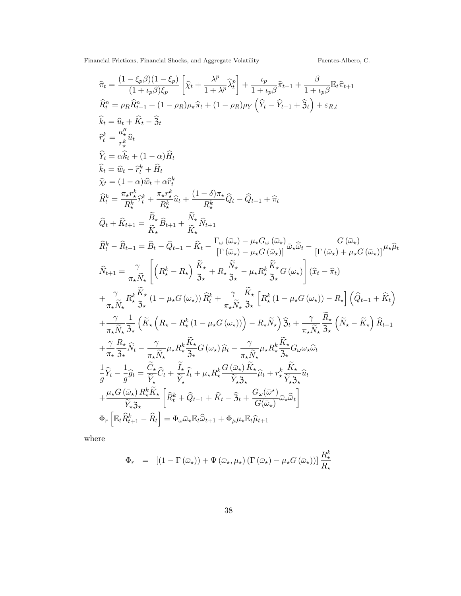$$
\begin{split} &\widehat{\pi}_t = \frac{(1-\xi_p\beta)(1-\xi_p)}{(1+\iota_p\beta)\xi_p}\left[\widehat{\chi}_t + \frac{\lambda^p}{1+\lambda^p}\widehat{\lambda}^p_t\right] + \frac{\iota_p}{1+\iota_p\beta}\widehat{\pi}_{t-1} + \frac{\beta}{1+\iota_p\beta}\widehat{\pi}_t\widehat{\pi}_{t+1} \\ &\widehat{R}^n_t = \rho_R\widehat{R}^n_{t-1} + (1-\rho_R)\rho_\pi\widehat{\pi}_t + (1-\rho_R)\rho_Y\left(\widehat{Y}_t - \widehat{Y}_{t-1} + \widehat{\mathfrak{Z}}_t\right) + \varepsilon_{R,t} \\ &\widehat{k}_t = \widehat{u}_t + \widehat{K}_t - \widehat{\mathfrak{Z}}_t \\ &\widehat{Y}^k_t = \frac{\alpha'^k}{\pi^k} \widehat{u}_t \\ &\widehat{X}_t = (1-\alpha)\widehat{w}_t + \alpha\widehat{Y}^k_t \\ &\widehat{x}_t = (1-\alpha)\widehat{w}_t + \alpha\widehat{Y}^k_t \\ &\widehat{R}^k_t = \frac{\pi_{s}r^\ast_s}{R^\ast_s}\widehat{r}^k_t + \frac{\pi_{s}r^\ast_s}{R^\ast_s}\widehat{u}_t + \frac{(1-\delta)\pi_\star}{R^\ast_s}\widehat{Q}_t - \widehat{Q}_{t-1} + \widehat{\pi}_t \\ &\widehat{Q}_t + \widehat{K}_{t+1} = \frac{\widehat{B}_s}{\widehat{K}}\widehat{B}_{t+1} + \frac{\widehat{N}_s}{\widehat{K}_s}\widehat{N}_{t+1} \\ &\widehat{R}^k_t - \widehat{R}_{t-1} = \widehat{\beta}_t - \widehat{Q}_{t-1} - \widehat{K}_t - \frac{\Gamma_\omega(\widehat{\omega}_\star) - \mu_s G_\omega(\widehat{\omega}_\star)}{|\Gamma(\widehat{\omega}_\star) - \mu_s G(\widehat{\omega}_\star)|}\widehat{\omega}_\star\widehat{\omega}_t - \frac{G(\widehat{\omega}_\star)}{|\Gamma(\widehat{\omega}_\star) + \mu_s G(\widehat{\omega}_\star)|} \mu_\star\widehat{\mu}_t \\ &\widehat{N}_{t+1} = \frac{\gamma}{\pi_\star\widehat{N}_\star}\left[\left(R^\star_s - R_\star\right)\frac{\
$$

where

$$
\Phi_r = \left[ (1 - \Gamma(\bar{\omega}_\star)) + \Psi(\bar{\omega}_\star, \mu_\star) \left( \Gamma(\bar{\omega}_\star) - \mu_\star G(\bar{\omega}_\star) \right) \right] \frac{R_\star^k}{R_\star}
$$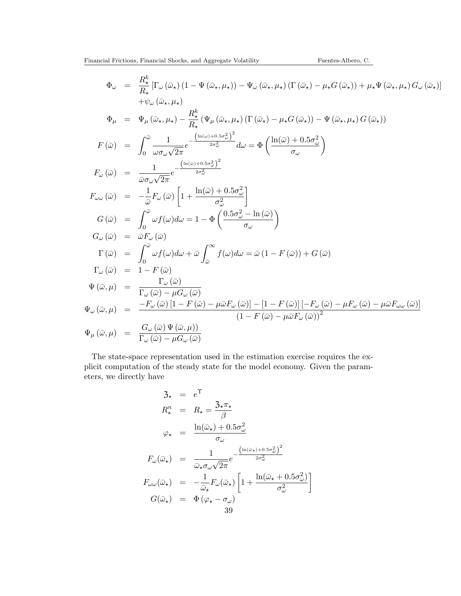$$
\Phi_{\omega} = \frac{R_{\star}^{k} \left[ \Gamma_{\omega} (\bar{\omega}_{\star}) \left( 1 - \Psi (\bar{\omega}_{\star}, \mu_{\star}) \right) - \Psi_{\omega} (\bar{\omega}_{\star}, \mu_{\star}) \left( \Gamma (\bar{\omega}_{\star}) - \mu_{\star} G (\bar{\omega}_{\star}) \right) + \mu_{\star} \Psi (\bar{\omega}_{\star}, \mu_{\star}) G_{\omega} (\bar{\omega}_{\star}) \right] \n+ \psi_{\omega} (\bar{\omega}_{\star}, \mu_{\star}) \n\Phi_{\mu} = \Psi_{\mu} (\bar{\omega}_{\star}, \mu_{\star}) - \frac{R_{\star}^{k}}{R_{\star}} (\Psi_{\mu} (\bar{\omega}_{\star}, \mu_{\star}) \left( \Gamma (\bar{\omega}_{\star}) - \mu_{\star} G (\bar{\omega}_{\star}) \right) - \Psi (\bar{\omega}_{\star}, \mu_{\star}) G (\bar{\omega}_{\star}) \right) \nF(\bar{\omega}) = \int_{0}^{\bar{\omega}} \frac{1}{\omega \sigma_{\omega} \sqrt{2\pi}} e^{-\frac{\left( \ln(\bar{\omega}) + 0.5\sigma_{\omega}^{2} \right)^{2}}{2\sigma_{\omega}^{2}}} d\omega = \Phi \left( \frac{\ln(\bar{\omega}) + 0.5\sigma_{\omega}^{2}}{\sigma_{\omega}} \right) \nF_{\omega}(\bar{\omega}) = \frac{1}{\bar{\omega} \sigma_{\omega} \sqrt{2\pi}} e^{-\frac{\left( \ln(\bar{\omega}) + 0.5\sigma_{\omega}^{2} \right)^{2}}{2\sigma_{\omega}^{2}}} \nG(\bar{\omega}) = -\frac{1}{\bar{\omega}} F_{\omega} (\bar{\omega}) \left[ 1 + \frac{\ln(\bar{\omega}) + 0.5\sigma_{\omega}^{2}}{\sigma_{\omega}^{2}} \right] \nG(\bar{\omega}) = \int_{0}^{\bar{\omega}} \omega f(\omega) d\omega = 1 - \Phi \left( \frac{0.5\sigma_{\omega}^{2} - \ln(\bar{\omega})}{\sigma_{\omega}} \right) \nG_{\omega}(\bar{\omega}) = \bar{\omega} F_{\omega}(\bar{\omega}) \n\Gamma(\bar{\omega}) = \int_{0}^{\bar{\omega}} \omega f(\omega) d\omega + \bar{\omega} \int_{\bar{\omega}}^{\infty} f(\omega) d\omega = \bar{\omega} (1
$$

The state-space representation used in the estimation exercise requires the explicit computation of the steady state for the model economy. Given the parameters, we directly have

$$
3_{\star} = e^{\Upsilon}
$$
  
\n
$$
R_{\star}^{n} = R_{\star} = \frac{3_{\star}\pi_{\star}}{\beta}
$$
  
\n
$$
\varphi_{\star} = \frac{\ln(\bar{\omega}_{\star}) + 0.5\sigma_{\omega}^{2}}{\sigma_{\omega}}
$$
  
\n
$$
F_{\omega}(\bar{\omega}_{\star}) = \frac{1}{\bar{\omega}_{\star}\sigma_{\omega}\sqrt{2\pi}}e^{-\frac{\left(\ln(\bar{\omega}_{\star}) + 0.5\sigma_{\omega}^{2}\right)^{2}}{2\sigma_{\omega}^{2}}}
$$
  
\n
$$
F_{\omega\omega}(\bar{\omega}_{\star}) = -\frac{1}{\bar{\omega}_{\star}}F_{\omega}(\bar{\omega}_{\star})\left[1 + \frac{\ln(\bar{\omega}_{\star} + 0.5\sigma_{\omega}^{2})}{\sigma_{\omega}^{2}}\right]
$$
  
\n
$$
G(\bar{\omega}_{\star}) = \Phi(\varphi_{\star} - \sigma_{\omega})
$$
  
\n
$$
39
$$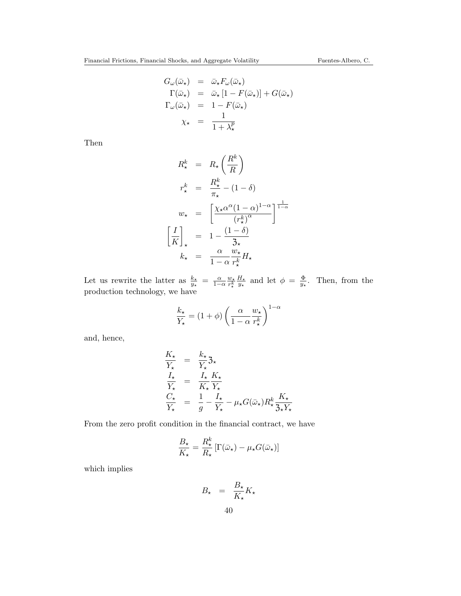$$
G_{\omega}(\bar{\omega}_{\star}) = \bar{\omega}_{\star} F_{\omega}(\bar{\omega}_{\star})
$$
  
\n
$$
\Gamma(\bar{\omega}_{\star}) = \bar{\omega}_{\star} [1 - F(\bar{\omega}_{\star})] + G(\bar{\omega}_{\star})
$$
  
\n
$$
\Gamma_{\omega}(\bar{\omega}_{\star}) = 1 - F(\bar{\omega}_{\star})
$$
  
\n
$$
\chi_{\star} = \frac{1}{1 + \lambda_{\star}^{p}}
$$

Then

$$
R_{\star}^{k} = R_{\star} \left(\frac{R^{k}}{R}\right)
$$
  
\n
$$
r_{\star}^{k} = \frac{R_{\star}^{k}}{\pi_{\star}} - (1 - \delta)
$$
  
\n
$$
w_{\star} = \left[\frac{\chi_{\star} \alpha^{\alpha} (1 - \alpha)^{1 - \alpha}}{(r_{\star}^{k})^{\alpha}}\right]^{\frac{1}{1 - \alpha}}
$$
  
\n
$$
\left[\frac{I}{K}\right]_{\star} = 1 - \frac{(1 - \delta)}{3_{\star}}
$$
  
\n
$$
k_{\star} = \frac{\alpha}{1 - \alpha} \frac{w_{\star}}{r_{\star}^{k}} H_{\star}
$$

Let us rewrite the latter as  $\frac{k_{\star}}{y_{\star}} = \frac{\alpha}{1-\alpha} \frac{w_{\star}}{r_{\star}^k}$  $\overline{r_\star^k}$  $H_{\star}$  $\frac{H_{\star}}{y_{\star}}$  and let  $\phi = \frac{\Phi}{y_{\star}}$  $\frac{\Phi}{y_*}$ . Then, from the production technology, we have

$$
\frac{k_{\star}}{Y_{\star}} = (1+\phi) \left( \frac{\alpha}{1-\alpha} \frac{w_{\star}}{r_{\star}^k} \right)^{1-\alpha}
$$

and, hence,

$$
\frac{K_{\star}}{Y_{\star}} = \frac{k_{\star}}{Y_{\star}} \mathfrak{Z}_{\star}
$$
\n
$$
\frac{I_{\star}}{Y_{\star}} = \frac{I_{\star}}{K_{\star}} \frac{K_{\star}}{Y_{\star}}
$$
\n
$$
\frac{C_{\star}}{Y_{\star}} = \frac{1}{g} - \frac{I_{\star}}{Y_{\star}} - \mu_{\star} G(\bar{\omega}_{\star}) R_{\star}^{k} \frac{K_{\star}}{\mathfrak{Z}_{\star} Y_{\star}}
$$

From the zero profit condition in the financial contract, we have

$$
\frac{B_{\star}}{K_{\star}} = \frac{R_{\star}^{k}}{R_{\star}} \left[ \Gamma(\bar{\omega}_{\star}) - \mu_{\star} G(\bar{\omega}_{\star}) \right]
$$

which implies

$$
B_{\star} = \frac{B_{\star}}{K_{\star}} K_{\star}
$$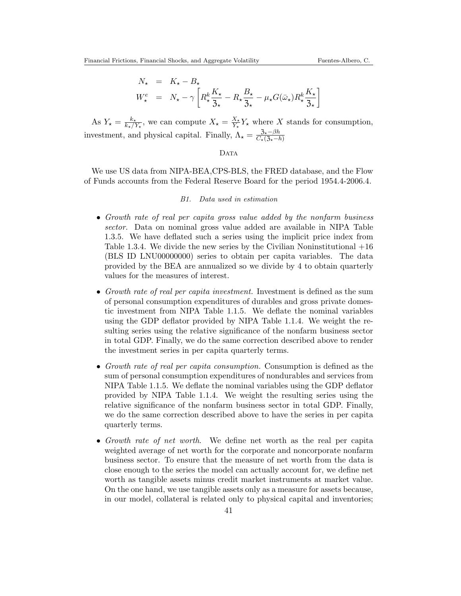$$
N_{\star} = K_{\star} - B_{\star}
$$
  

$$
W_{\star}^{e} = N_{\star} - \gamma \left[ R_{\star}^{k} \frac{K_{\star}}{3_{\star}} - R_{\star} \frac{B_{\star}}{3_{\star}} - \mu_{\star} G(\bar{\omega}_{\star}) R_{\star}^{k} \frac{K_{\star}}{3_{\star}} \right]
$$

As  $Y_{\star} = \frac{k_{\star}}{k_{\star}/2}$  $\frac{k_{\star}}{k_{\star}/Y_{\star}}$ , we can compute  $X_{\star} = \frac{X_{\star}}{Y_{\star}}$  $\frac{X_{\star}}{Y_{\star}} Y_{\star}$  where X stands for consumption, investment, and physical capital. Finally,  $\Lambda_{\star} = \frac{3_{\star}-\beta h}{C_{\star}(3_{\star}-1)}$  $\overline{C_{\star}(3_{\star}-h)}$ 

## DATA

We use US data from NIPA-BEA,CPS-BLS, the FRED database, and the Flow of Funds accounts from the Federal Reserve Board for the period 1954.4-2006.4.

## B1. Data used in estimation

- Growth rate of real per capita gross value added by the nonfarm business sector. Data on nominal gross value added are available in NIPA Table 1.3.5. We have deflated such a series using the implicit price index from Table 1.3.4. We divide the new series by the Civilian Noninstitutional  $+16$ (BLS ID LNU00000000) series to obtain per capita variables. The data provided by the BEA are annualized so we divide by 4 to obtain quarterly values for the measures of interest.
- Growth rate of real per capita investment. Investment is defined as the sum of personal consumption expenditures of durables and gross private domestic investment from NIPA Table 1.1.5. We deflate the nominal variables using the GDP deflator provided by NIPA Table 1.1.4. We weight the resulting series using the relative significance of the nonfarm business sector in total GDP. Finally, we do the same correction described above to render the investment series in per capita quarterly terms.
- Growth rate of real per capita consumption. Consumption is defined as the sum of personal consumption expenditures of nondurables and services from NIPA Table 1.1.5. We deflate the nominal variables using the GDP deflator provided by NIPA Table 1.1.4. We weight the resulting series using the relative significance of the nonfarm business sector in total GDP. Finally, we do the same correction described above to have the series in per capita quarterly terms.
- Growth rate of net worth. We define net worth as the real per capita weighted average of net worth for the corporate and noncorporate nonfarm business sector. To ensure that the measure of net worth from the data is close enough to the series the model can actually account for, we define net worth as tangible assets minus credit market instruments at market value. On the one hand, we use tangible assets only as a measure for assets because, in our model, collateral is related only to physical capital and inventories;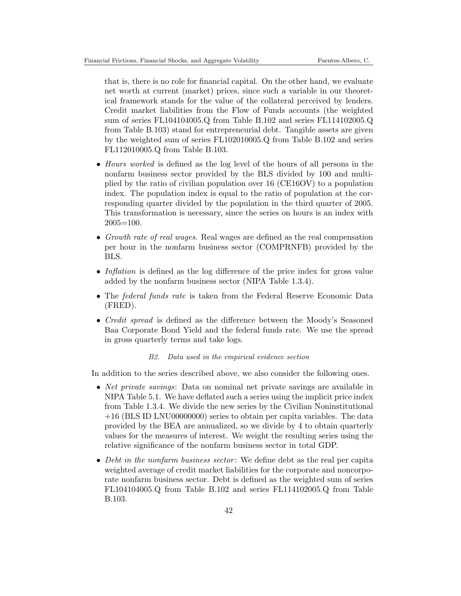that is, there is no role for financial capital. On the other hand, we evaluate net worth at current (market) prices, since such a variable in our theoretical framework stands for the value of the collateral perceived by lenders. Credit market liabilities from the Flow of Funds accounts (the weighted sum of series FL104104005.Q from Table B.102 and series FL114102005.Q from Table B.103) stand for entrepreneurial debt. Tangible assets are given by the weighted sum of series FL102010005.Q from Table B.102 and series FL112010005.Q from Table B.103.

- Hours worked is defined as the log level of the hours of all persons in the nonfarm business sector provided by the BLS divided by 100 and multiplied by the ratio of civilian population over 16 (CE16OV) to a population index. The population index is equal to the ratio of population at the corresponding quarter divided by the population in the third quarter of 2005. This transformation is necessary, since the series on hours is an index with 2005=100.
- Growth rate of real wages. Real wages are defined as the real compensation per hour in the nonfarm business sector (COMPRNFB) provided by the BLS.
- Inflation is defined as the log difference of the price index for gross value added by the nonfarm business sector (NIPA Table 1.3.4).
- The *federal funds rate* is taken from the Federal Reserve Economic Data (FRED).
- *Credit spread* is defined as the difference between the Moody's Seasoned Baa Corporate Bond Yield and the federal funds rate. We use the spread in gross quarterly terms and take logs.

## B2. Data used in the empirical evidence section

In addition to the series described above, we also consider the following ones.

- *Net private savings*: Data on nominal net private savings are available in NIPA Table 5.1. We have deflated such a series using the implicit price index from Table 1.3.4. We divide the new series by the Civilian Noninstitutional +16 (BLS ID LNU00000000) series to obtain per capita variables. The data provided by the BEA are annualized, so we divide by 4 to obtain quarterly values for the measures of interest. We weight the resulting series using the relative significance of the nonfarm business sector in total GDP.
- Debt in the nonfarm business sector: We define debt as the real per capita weighted average of credit market liabilities for the corporate and noncorporate nonfarm business sector. Debt is defined as the weighted sum of series FL104104005.Q from Table B.102 and series FL114102005.Q from Table B.103.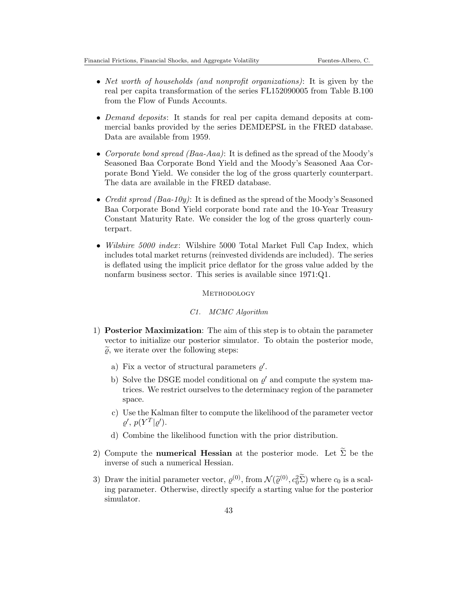- Net worth of households (and nonprofit organizations): It is given by the real per capita transformation of the series FL152090005 from Table B.100 from the Flow of Funds Accounts.
- Demand deposits: It stands for real per capita demand deposits at commercial banks provided by the series DEMDEPSL in the FRED database. Data are available from 1959.
- Corporate bond spread  $(Baa-Aaa)$ : It is defined as the spread of the Moody's Seasoned Baa Corporate Bond Yield and the Moody's Seasoned Aaa Corporate Bond Yield. We consider the log of the gross quarterly counterpart. The data are available in the FRED database.
- Credit spread (Baa-10y): It is defined as the spread of the Moody's Seasoned Baa Corporate Bond Yield corporate bond rate and the 10-Year Treasury Constant Maturity Rate. We consider the log of the gross quarterly counterpart.
- Wilshire 5000 index: Wilshire 5000 Total Market Full Cap Index, which includes total market returns (reinvested dividends are included). The series is deflated using the implicit price deflator for the gross value added by the nonfarm business sector. This series is available since 1971:Q1.

## **METHODOLOGY**

## C1. MCMC Algorithm

- 1) Posterior Maximization: The aim of this step is to obtain the parameter vector to initialize our posterior simulator. To obtain the posterior mode,  $\widetilde{\varrho}$ , we iterate over the following steps:
	- a) Fix a vector of structural parameters  $\rho'$ .
	- b) Solve the DSGE model conditional on  $\varrho'$  and compute the system matrices. We restrict ourselves to the determinacy region of the parameter space.
	- c) Use the Kalman filter to compute the likelihood of the parameter vector  $\rho', p(Y^T|\rho').$
	- d) Combine the likelihood function with the prior distribution.
- 2) Compute the **numerical Hessian** at the posterior mode. Let  $\widetilde{\Sigma}$  be the inverse of such a numerical Hessian.
- 3) Draw the initial parameter vector,  $\varrho^{(0)}$ , from  $\mathcal{N}(\tilde{\varrho}^{(0)}, c_0^2 \tilde{\Sigma})$  where  $c_0$  is a scal-<br>ing parameter. Otherwise, directly specify a starting value for the posterior ing parameter. Otherwise, directly specify a starting value for the posterior simulator.